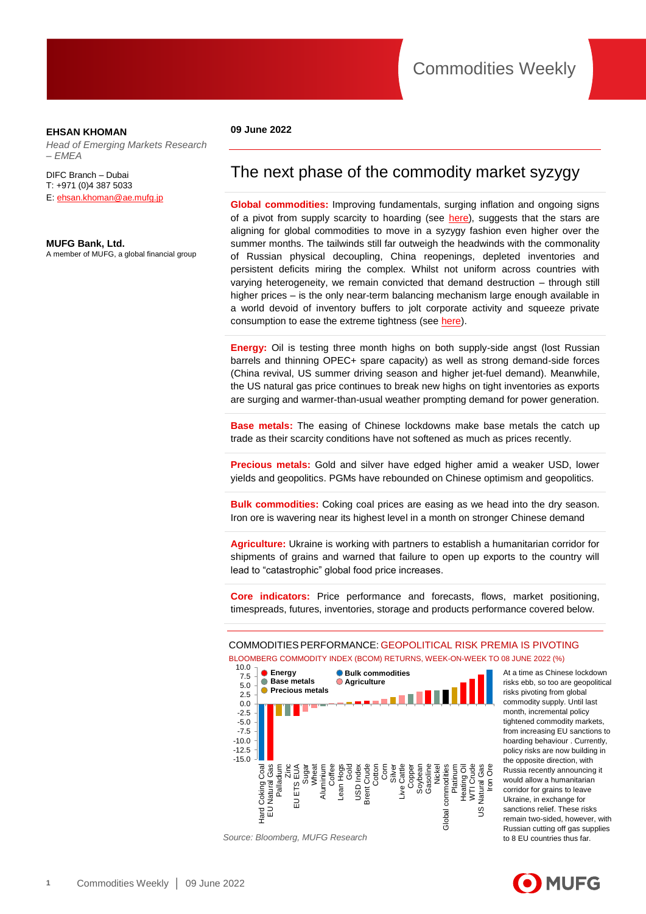## **EHSAN KHOMAN**

*Head of Emerging Markets Research – EMEA* 

DIFC Branch – Dubai T: +971 (0)4 387 5033 E[: ehsan.khoman@ae.mufg.jp](mailto:ehsan.khoman@ae.mufg.jp)

### **MUFG Bank, Ltd.**

A member of MUFG, a global financial group

### **09 June 2022**

## The next phase of the commodity market syzygy

**Global commodities:** Improving fundamentals, surging inflation and ongoing signs of a pivot from supply scarcity to hoarding (see [here\)](https://market-research.bk.mufg.jp/distribution/47927_ext_01_en_0.pdf), suggests that the stars are aligning for global commodities to move in a syzygy fashion even higher over the summer months. The tailwinds still far outweigh the headwinds with the commonality of Russian physical decoupling, China reopenings, depleted inventories and persistent deficits miring the complex. Whilst not uniform across countries with varying heterogeneity, we remain convicted that demand destruction – through still higher prices – is the only near-term balancing mechanism large enough available in a world devoid of inventory buffers to jolt corporate activity and squeeze private consumption to ease the extreme tightness (see [here\)](https://market-research.bk.mufg.jp/distribution/48315_ext_01_en_0.pdf).

**Energy:** Oil is testing three month highs on both supply-side angst (lost Russian barrels and thinning OPEC+ spare capacity) as well as strong demand-side forces (China revival, US summer driving season and higher jet-fuel demand). Meanwhile, the US natural gas price continues to break new highs on tight inventories as exports are surging and warmer-than-usual weather prompting demand for power generation.

**Base metals:** The easing of Chinese lockdowns make base metals the catch up trade as their scarcity conditions have not softened as much as prices recently.

**Precious metals:** Gold and silver have edged higher amid a weaker USD, lower yields and geopolitics. PGMs have rebounded on Chinese optimism and geopolitics.

**Bulk commodities:** Coking coal prices are easing as we head into the dry season. Iron ore is wavering near its highest level in a month on stronger Chinese demand

**Agriculture:** Ukraine is working with partners to establish a humanitarian corridor for shipments of grains and warned that failure to open up exports to the country will lead to "catastrophic" global food price increases.

**Core indicators:** Price performance and forecasts, flows, market positioning, timespreads, futures, inventories, storage and products performance covered below.

## COMMODITIESPERFORMANCE: GEOPOLITICAL RISK PREMIA IS PIVOTING BLOOMBERG COMMODITY INDEX (BCOM) RETURNS, WEEK-ON-WEEK TO 08 JUNE 2022 (%)



*Source: Bloomberg, MUFG Research*

At a time as Chinese lockdown risks ebb, so too are geopolitical risks pivoting from global commodity supply. Until last month, incremental policy tightened commodity markets, from increasing EU sanctions to hoarding behaviour . Currently, policy risks are now building in the opposite direction, with Russia recently announcing it would allow a humanitarian corridor for grains to leave Ukraine, in exchange for sanctions relief. These risks remain two-sided, however, with Russian cutting off gas supplies to 8 EU countries thus far.

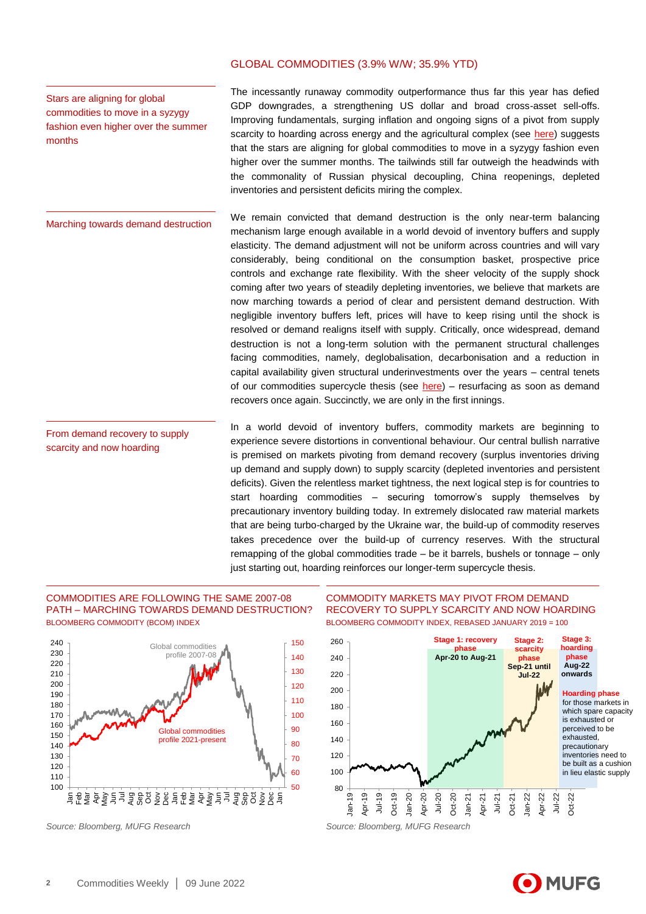## GLOBAL COMMODITIES (3.9% W/W; 35.9% YTD)

Stars are aligning for global commodities to move in a syzygy fashion even higher over the summer months

Marching towards demand destruction

From demand recovery to supply scarcity and now hoarding

The incessantly runaway commodity outperformance thus far this year has defied GDP downgrades, a strengthening US dollar and broad cross-asset sell-offs. Improving fundamentals, surging inflation and ongoing signs of a pivot from supply scarcity to hoarding across energy and the agricultural complex (see [here\)](https://market-research.bk.mufg.jp/distribution/47927_ext_01_en_0.pdf) suggests that the stars are aligning for global commodities to move in a syzygy fashion even higher over the summer months. The tailwinds still far outweigh the headwinds with the commonality of Russian physical decoupling, China reopenings, depleted inventories and persistent deficits miring the complex.

We remain convicted that demand destruction is the only near-term balancing mechanism large enough available in a world devoid of inventory buffers and supply elasticity. The demand adjustment will not be uniform across countries and will vary considerably, being conditional on the consumption basket, prospective price controls and exchange rate flexibility. With the sheer velocity of the supply shock coming after two years of steadily depleting inventories, we believe that markets are now marching towards a period of clear and persistent demand destruction. With negligible inventory buffers left, prices will have to keep rising until the shock is resolved or demand realigns itself with supply. Critically, once widespread, demand destruction is not a long-term solution with the permanent structural challenges facing commodities, namely, deglobalisation, decarbonisation and a reduction in capital availability given structural underinvestments over the years – central tenets of our commodities supercycle thesis (see [here\)](https://market-research.bk.mufg.jp/distribution/47843_ext_01_en_0.pdf) – resurfacing as soon as demand recovers once again. Succinctly, we are only in the first innings.

In a world devoid of inventory buffers, commodity markets are beginning to experience severe distortions in conventional behaviour. Our central bullish narrative is premised on markets pivoting from demand recovery (surplus inventories driving up demand and supply down) to supply scarcity (depleted inventories and persistent deficits). Given the relentless market tightness, the next logical step is for countries to start hoarding commodities – securing tomorrow's supply themselves by precautionary inventory building today. In extremely dislocated raw material markets that are being turbo-charged by the Ukraine war, the build-up of commodity reserves takes precedence over the build-up of currency reserves. With the structural remapping of the global commodities trade – be it barrels, bushels or tonnage – only just starting out, hoarding reinforces our longer-term supercycle thesis.

## COMMODITIES ARE FOLLOWING THE SAME 2007-08 PATH – MARCHING TOWARDS DEMAND DESTRUCTION? BLOOMBERG COMMODITY (BCOM) INDEX



## COMMODITY MARKETS MAY PIVOT FROM DEMAND RECOVERY TO SUPPLY SCARCITY AND NOW HOARDING BLOOMBERG COMMODITY INDEX, REBASED JANUARY 2019 = 100



*Source: Bloomberg, MUFG Research Source: Bloomberg, MUFG Research*

be built as a cushion in lieu elastic supply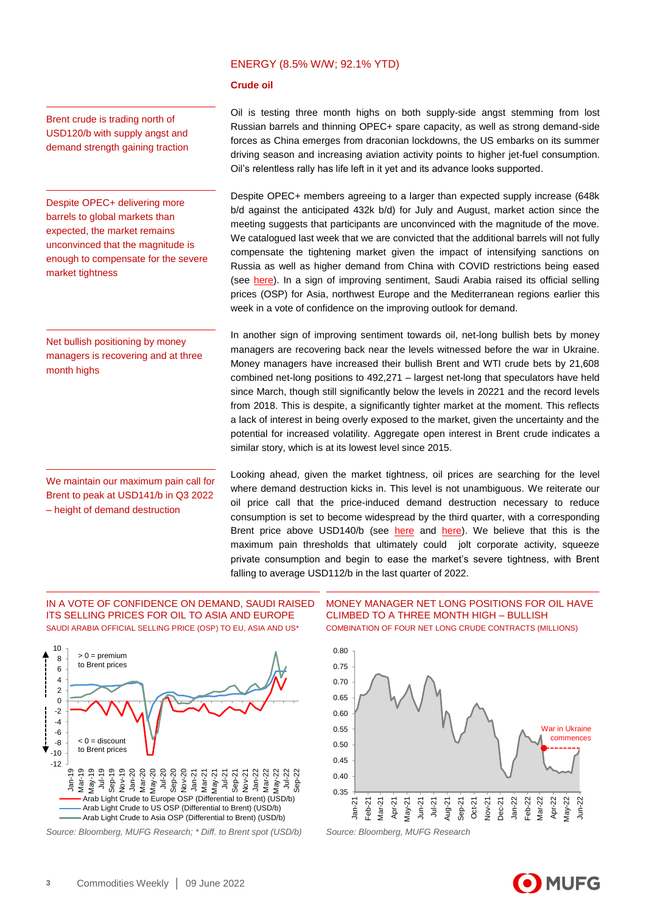## ENERGY (8.5% W/W; 92.1% YTD)

### **Crude oil**

Brent crude is trading north of USD120/b with supply angst and demand strength gaining traction

Despite OPEC+ delivering more barrels to global markets than expected, the market remains unconvinced that the magnitude is enough to compensate for the severe market tightness

Net bullish positioning by money managers is recovering and at three month highs

We maintain our maximum pain call for Brent to peak at USD141/b in Q3 2022 – height of demand destruction

Oil is testing three month highs on both supply-side angst stemming from lost Russian barrels and thinning OPEC+ spare capacity, as well as strong demand-side forces as China emerges from draconian lockdowns, the US embarks on its summer driving season and increasing aviation activity points to higher jet-fuel consumption. Oil's relentless rally has life left in it yet and its advance looks supported.

Despite OPEC+ members agreeing to a larger than expected supply increase (648k b/d against the anticipated 432k b/d) for July and August, market action since the meeting suggests that participants are unconvinced with the magnitude of the move. We catalogued last week that we are convicted that the additional barrels will not fully compensate the tightening market given the impact of intensifying sanctions on Russia as well as higher demand from China with COVID restrictions being eased (see [here\)](https://market-research.bk.mufg.jp/distribution/48315_ext_01_en_0.pdf). In a sign of improving sentiment, Saudi Arabia raised its official selling prices (OSP) for Asia, northwest Europe and the Mediterranean regions earlier this week in a vote of confidence on the improving outlook for demand.

In another sign of improving sentiment towards oil, net-long bullish bets by money managers are recovering back near the levels witnessed before the war in Ukraine. Money managers have increased their bullish Brent and WTI crude bets by 21,608 combined net-long positions to 492,271 – largest net-long that speculators have held since March, though still significantly below the levels in 20221 and the record levels from 2018. This is despite, a significantly tighter market at the moment. This reflects a lack of interest in being overly exposed to the market, given the uncertainty and the potential for increased volatility. Aggregate open interest in Brent crude indicates a similar story, which is at its lowest level since 2015.

Looking ahead, given the market tightness, oil prices are searching for the level where demand destruction kicks in. This level is not unambiguous. We reiterate our oil price call that the price-induced demand destruction necessary to reduce consumption is set to become widespread by the third quarter, with a corresponding Brent price above USD140/b (see here and here). We believe that this is the maximum pain thresholds that ultimately could jolt corporate activity, squeeze private consumption and begin to ease the market's severe tightness, with Brent falling to average USD112/b in the last quarter of 2022.

IN A VOTE OF CONFIDENCE ON DEMAND, SAUDI RAISED ITS SELLING PRICES FOR OIL TO ASIA AND EUROPE SAUDI ARABIA OFFICIAL SELLING PRICE (OSP) TO EU, ASIA AND US<sup>\*</sup>



*Source: Bloomberg, MUFG Research; \* Diff. to Brent spot (USD/b) Source: Bloomberg, MUFG Research*

MONEY MANAGER NET LONG POSITIONS FOR OIL HAVE CLIMBED TO A THREE MONTH HIGH – BULLISH COMBINATION OF FOUR NET LONG CRUDE CONTRACTS (MILLIONS)



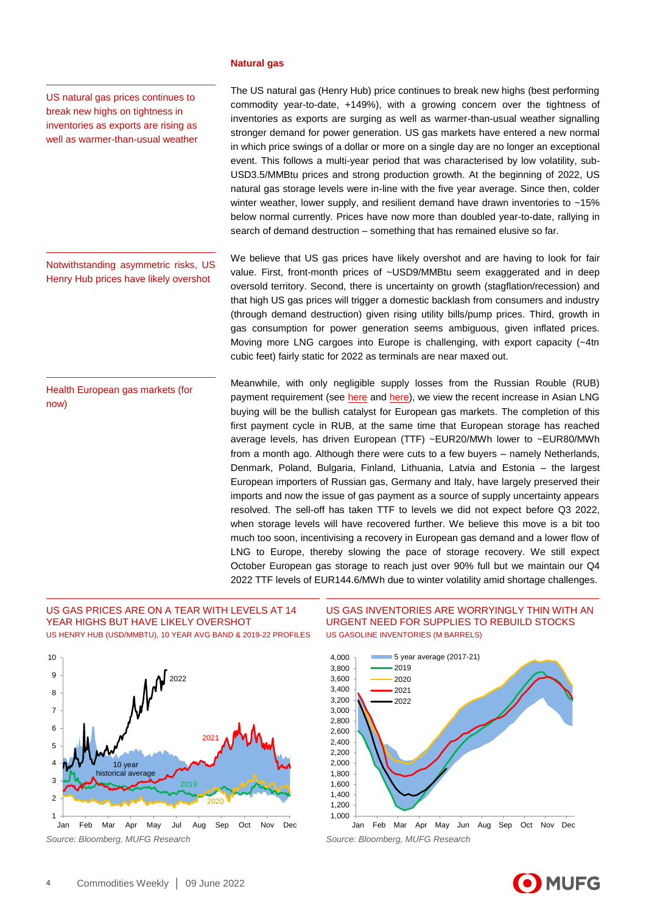#### **Natural gas**

US natural gas prices continues to break new highs on tightness in inventories as exports are rising as well as warmer-than-usual weather

Notwithstanding asymmetric risks, US Henry Hub prices have likely overshot

Health European gas markets (for now)

The US natural gas (Henry Hub) price continues to break new highs (best performing commodity year-to-date, +149%), with a growing concern over the tightness of inventories as exports are surging as well as warmer-than-usual weather signalling stronger demand for power generation. US gas markets have entered a new normal in which price swings of a dollar or more on a single day are no longer an exceptional event. This follows a multi-year period that was characterised by low volatility, sub-USD3.5/MMBtu prices and strong production growth. At the beginning of 2022, US natural gas storage levels were in-line with the five year average. Since then, colder winter weather, lower supply, and resilient demand have drawn inventories to  $~15\%$ below normal currently. Prices have now more than doubled year-to-date, rallying in search of demand destruction – something that has remained elusive so far.

We believe that US gas prices have likely overshot and are having to look for fair value. First, front-month prices of ~USD9/MMBtu seem exaggerated and in deep oversold territory. Second, there is uncertainty on growth (stagflation/recession) and that high US gas prices will trigger a domestic backlash from consumers and industry (through demand destruction) given rising utility bills/pump prices. Third, growth in gas consumption for power generation seems ambiguous, given inflated prices. Moving more LNG cargoes into Europe is challenging, with export capacity (~4tn cubic feet) fairly static for 2022 as terminals are near maxed out.

Meanwhile, with only negligible supply losses from the Russian Rouble (RUB) payment requirement (see [here](https://market-research.bk.mufg.jp/distribution/48032_ext_01_en_0.pdf) and [here\)](https://market-research.bk.mufg.jp/distribution/48305_ext_01_en_0.pdf), we view the recent increase in Asian LNG buying will be the bullish catalyst for European gas markets. The completion of this first payment cycle in RUB, at the same time that European storage has reached average levels, has driven European (TTF) ~EUR20/MWh lower to ~EUR80/MWh from a month ago. Although there were cuts to a few buyers – namely Netherlands, Denmark, Poland, Bulgaria, Finland, Lithuania, Latvia and Estonia – the largest European importers of Russian gas, Germany and Italy, have largely preserved their imports and now the issue of gas payment as a source of supply uncertainty appears resolved. The sell-off has taken TTF to levels we did not expect before Q3 2022, when storage levels will have recovered further. We believe this move is a bit too much too soon, incentivising a recovery in European gas demand and a lower flow of LNG to Europe, thereby slowing the pace of storage recovery. We still expect October European gas storage to reach just over 90% full but we maintain our Q4 2022 TTF levels of EUR144.6/MWh due to winter volatility amid shortage challenges.

## US GAS PRICES ARE ON A TEAR WITH LEVELS AT 14 YEAR HIGHS BUT HAVE LIKELY OVERSHOT US HENRY HUB (USD/MMBTU), 10 YEAR AVG BAND & 2019-22 PROFILES



US GAS INVENTORIES ARE WORRYINGLY THIN WITH AN URGENT NEED FOR SUPPLIES TO REBUILD STOCKS US GASOLINE INVENTORIES (M BARRELS)



Jan Feb Mar Apr May Jun Aug Sep Oct Nov Dec

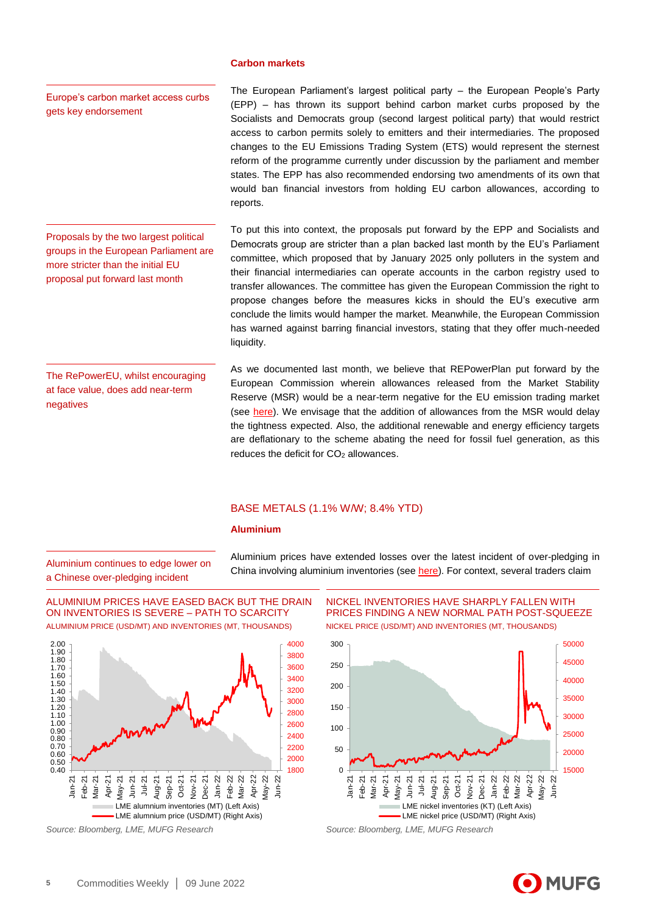#### **Carbon markets**

Europe's carbon market access curbs gets key endorsement

The European Parliament's largest political party – the European People's Party (EPP) – has thrown its support behind carbon market curbs proposed by the Socialists and Democrats group (second largest political party) that would restrict access to carbon permits solely to emitters and their intermediaries. The proposed changes to the EU Emissions Trading System (ETS) would represent the sternest reform of the programme currently under discussion by the parliament and member states. The EPP has also recommended endorsing two amendments of its own that would ban financial investors from holding EU carbon allowances, according to reports.

Proposals by the two largest political groups in the European Parliament are more stricter than the initial EU proposal put forward last month

To put this into context, the proposals put forward by the EPP and Socialists and Democrats group are stricter than a plan backed last month by the EU's Parliament committee, which proposed that by January 2025 only polluters in the system and their financial intermediaries can operate accounts in the carbon registry used to transfer allowances. The committee has given the European Commission the right to propose changes before the measures kicks in should the EU's executive arm conclude the limits would hamper the market. Meanwhile, the European Commission has warned against barring financial investors, stating that they offer much-needed liquidity.

The RePowerEU, whilst encouraging at face value, does add near-term negatives

As we documented last month, we believe that REPowerPlan put forward by the European Commission wherein allowances released from the Market Stability Reserve (MSR) would be a near-term negative for the EU emission trading market (see [here\)](https://market-research.bk.mufg.jp/distribution/48199_ext_01_en_0.pdf). We envisage that the addition of allowances from the MSR would delay the tightness expected. Also, the additional renewable and energy efficiency targets are deflationary to the scheme abating the need for fossil fuel generation, as this reduces the deficit for  $CO<sub>2</sub>$  allowances.

## BASE METALS (1.1% W/W; 8.4% YTD)

## **Aluminium**

Aluminium continues to edge lower on a Chinese over-pledging incident

Aluminium prices have extended losses over the latest incident of over-pledging in China involving aluminium inventories (se[e here\)](https://market-research.bk.mufg.jp/distribution/48305_ext_01_en_0.pdf). For context, several traders claim

ALUMINIUM PRICES HAVE EASED BACK BUT THE DRAIN ON INVENTORIES IS SEVERE – PATH TO SCARCITY ALUMINIUM PRICE (USD/MT) AND INVENTORIES (MT, THOUSANDS)



*Source: Bloomberg, LME, MUFG Research Source: Bloomberg, LME, MUFG Research*

NICKEL INVENTORIES HAVE SHARPLY FALLEN WITH PRICES FINDING A NEW NORMAL PATH POST-SQUEEZE NICKEL PRICE (USD/MT) AND INVENTORIES (MT, THOUSANDS)



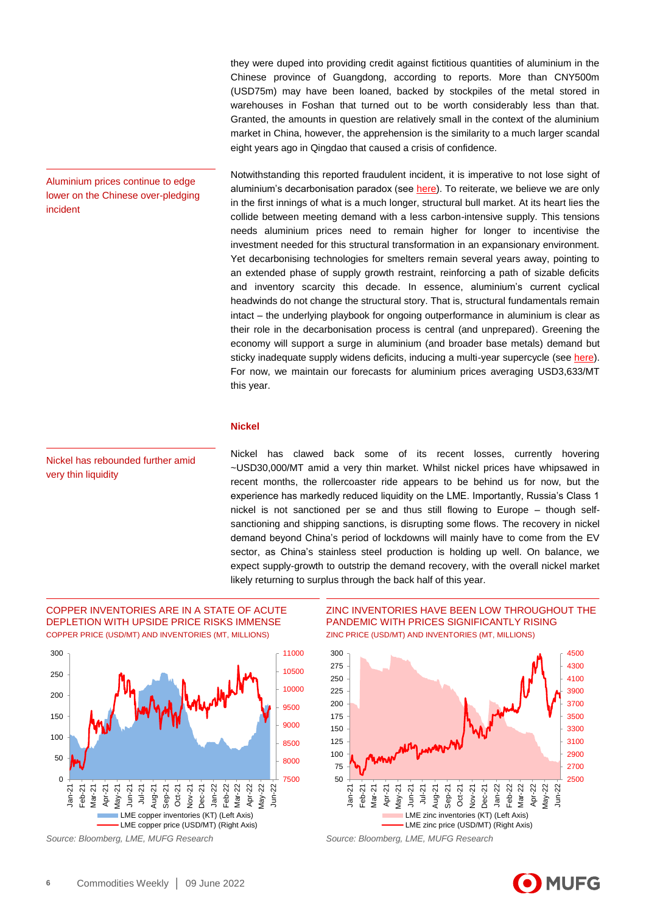they were duped into providing credit against fictitious quantities of aluminium in the Chinese province of Guangdong, according to reports. More than CNY500m (USD75m) may have been loaned, backed by stockpiles of the metal stored in warehouses in Foshan that turned out to be worth considerably less than that. Granted, the amounts in question are relatively small in the context of the aluminium market in China, however, the apprehension is the similarity to a much larger scandal eight years ago in Qingdao that caused a crisis of confidence.

Notwithstanding this reported fraudulent incident, it is imperative to not lose sight of aluminium's decarbonisation paradox (see [here\)](https://market-research.bk.mufg.jp/distribution/47843_ext_01_en_0.pdf). To reiterate, we believe we are only in the first innings of what is a much longer, structural bull market. At its heart lies the collide between meeting demand with a less carbon-intensive supply. This tensions needs aluminium prices need to remain higher for longer to incentivise the investment needed for this structural transformation in an expansionary environment. Yet decarbonising technologies for smelters remain several years away, pointing to an extended phase of supply growth restraint, reinforcing a path of sizable deficits and inventory scarcity this decade. In essence, aluminium's current cyclical headwinds do not change the structural story. That is, structural fundamentals remain intact – the underlying playbook for ongoing outperformance in aluminium is clear as their role in the decarbonisation process is central (and unprepared). Greening the economy will support a surge in aluminium (and broader base metals) demand but sticky inadequate supply widens deficits, inducing a multi-year supercycle (see [here\)](https://market-research.bk.mufg.jp/distribution/47843_ext_01_en_0.pdf). For now, we maintain our forecasts for aluminium prices averaging USD3,633/MT this year.

## **Nickel**

Nickel has rebounded further amid very thin liquidity

Aluminium prices continue to edge lower on the Chinese over-pledging

incident

Nickel has clawed back some of its recent losses, currently hovering ~USD30,000/MT amid a very thin market. Whilst nickel prices have whipsawed in recent months, the rollercoaster ride appears to be behind us for now, but the experience has markedly reduced liquidity on the LME. Importantly, Russia's Class 1 nickel is not sanctioned per se and thus still flowing to Europe – though selfsanctioning and shipping sanctions, is disrupting some flows. The recovery in nickel demand beyond China's period of lockdowns will mainly have to come from the EV sector, as China's stainless steel production is holding up well. On balance, we expect supply-growth to outstrip the demand recovery, with the overall nickel market likely returning to surplus through the back half of this year.

## COPPER INVENTORIES ARE IN A STATE OF ACUTE DEPLETION WITH UPSIDE PRICE RISKS IMMENSE COPPER PRICE (USD/MT) AND INVENTORIES (MT, MILLIONS)



*Source: Bloomberg, LME, MUFG Research Source: Bloomberg, LME, MUFG Research*

## ZINC INVENTORIES HAVE BEEN LOW THROUGHOUT THE PANDEMIC WITH PRICES SIGNIFICANTLY RISING ZINC PRICE (USD/MT) AND INVENTORIES (MT, MILLIONS)



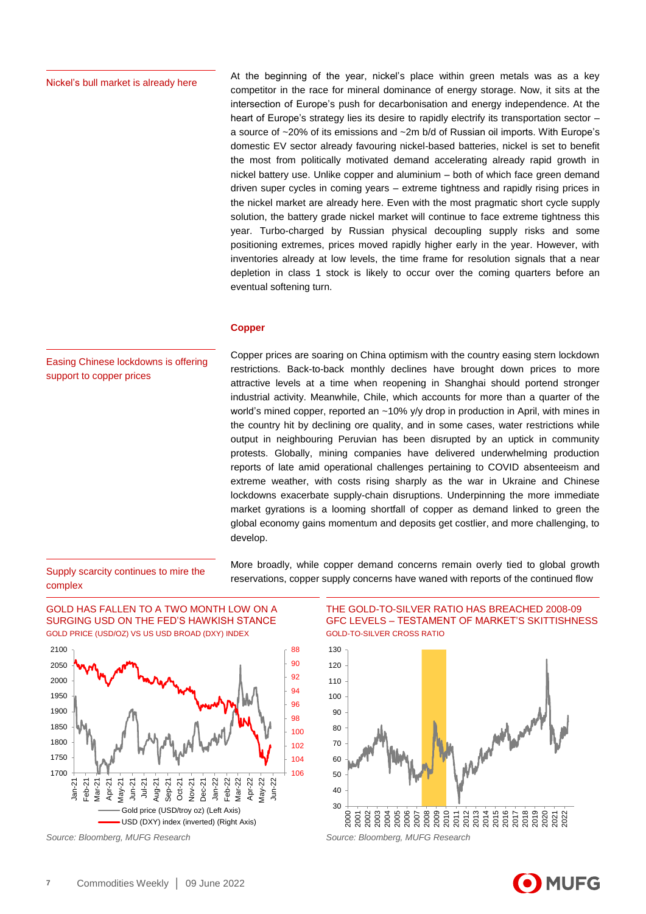### Nickel's bull market is already here

At the beginning of the year, nickel's place within green metals was as a key competitor in the race for mineral dominance of energy storage. Now, it sits at the intersection of Europe's push for decarbonisation and energy independence. At the heart of Europe's strategy lies its desire to rapidly electrify its transportation sector – a source of ~20% of its emissions and ~2m b/d of Russian oil imports. With Europe's domestic EV sector already favouring nickel-based batteries, nickel is set to benefit the most from politically motivated demand accelerating already rapid growth in nickel battery use. Unlike copper and aluminium – both of which face green demand driven super cycles in coming years – extreme tightness and rapidly rising prices in the nickel market are already here. Even with the most pragmatic short cycle supply solution, the battery grade nickel market will continue to face extreme tightness this year. Turbo-charged by Russian physical decoupling supply risks and some positioning extremes, prices moved rapidly higher early in the year. However, with inventories already at low levels, the time frame for resolution signals that a near depletion in class 1 stock is likely to occur over the coming quarters before an eventual softening turn.

## **Copper**

Easing Chinese lockdowns is offering support to copper prices

Copper prices are soaring on China optimism with the country easing stern lockdown restrictions. Back-to-back monthly declines have brought down prices to more attractive levels at a time when reopening in Shanghai should portend stronger industrial activity. Meanwhile, Chile, which accounts for more than a quarter of the world's mined copper, reported an ~10% y/y drop in production in April, with mines in the country hit by declining ore quality, and in some cases, water restrictions while output in neighbouring Peruvian has been disrupted by an uptick in community protests. Globally, mining companies have delivered underwhelming production reports of late amid operational challenges pertaining to COVID absenteeism and extreme weather, with costs rising sharply as the war in Ukraine and Chinese lockdowns exacerbate supply-chain disruptions. Underpinning the more immediate market gyrations is a looming shortfall of copper as demand linked to green the global economy gains momentum and deposits get costlier, and more challenging, to develop.

## Supply scarcity continues to mire the complex

GOLD HAS FALLEN TO A TWO MONTH LOW ON A SURGING USD ON THE FED'S HAWKISH STANCE GOLD PRICE (USD/OZ) VS US USD BROAD (DXY) INDEX



More broadly, while copper demand concerns remain overly tied to global growth reservations, copper supply concerns have waned with reports of the continued flow

> THE GOLD-TO-SILVER RATIO HAS BREACHED 2008-09 GFC LEVELS – TESTAMENT OF MARKET'S SKITTISHNESS GOLD-TO-SILVER CROSS RATIO



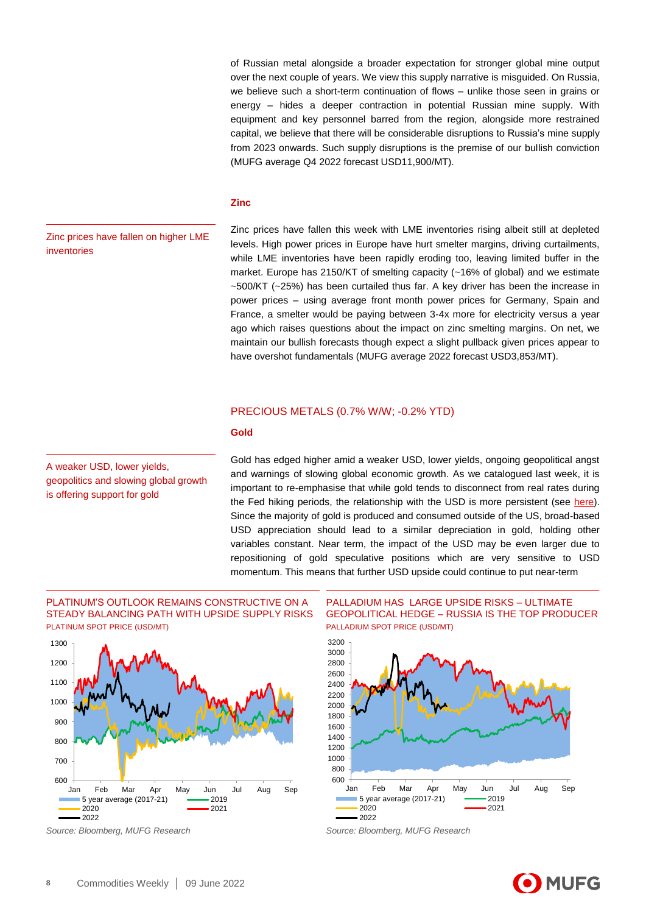of Russian metal alongside a broader expectation for stronger global mine output over the next couple of years. We view this supply narrative is misguided. On Russia, we believe such a short-term continuation of flows – unlike those seen in grains or energy – hides a deeper contraction in potential Russian mine supply. With equipment and key personnel barred from the region, alongside more restrained capital, we believe that there will be considerable disruptions to Russia's mine supply from 2023 onwards. Such supply disruptions is the premise of our bullish conviction (MUFG average Q4 2022 forecast USD11,900/MT).

## **Zinc**

Zinc prices have fallen on higher LME inventories

Zinc prices have fallen this week with LME inventories rising albeit still at depleted levels. High power prices in Europe have hurt smelter margins, driving curtailments, while LME inventories have been rapidly eroding too, leaving limited buffer in the market. Europe has 2150/KT of smelting capacity (~16% of global) and we estimate ~500/KT (~25%) has been curtailed thus far. A key driver has been the increase in power prices – using average front month power prices for Germany, Spain and France, a smelter would be paying between 3-4x more for electricity versus a year ago which raises questions about the impact on zinc smelting margins. On net, we maintain our bullish forecasts though expect a slight pullback given prices appear to have overshot fundamentals (MUFG average 2022 forecast USD3,853/MT).

## PRECIOUS METALS (0.7% W/W; -0.2% YTD)

## **Gold**

A weaker USD, lower yields, geopolitics and slowing global growth is offering support for gold

Gold has edged higher amid a weaker USD, lower yields, ongoing geopolitical angst and warnings of slowing global economic growth. As we catalogued last week, it is important to re-emphasise that while gold tends to disconnect from real rates during the Fed hiking periods, the relationship with the USD is more persistent (see [here\)](https://market-research.bk.mufg.jp/distribution/48305_ext_01_en_0.pdf). Since the majority of gold is produced and consumed outside of the US, broad-based USD appreciation should lead to a similar depreciation in gold, holding other variables constant. Near term, the impact of the USD may be even larger due to repositioning of gold speculative positions which are very sensitive to USD momentum. This means that further USD upside could continue to put near-term

## PLATINUM'S OUTLOOK REMAINS CONSTRUCTIVE ON A STEADY BALANCING PATH WITH UPSIDE SUPPLY RISKS PLATINUM SPOT PRICE (USD/MT)



PALLADIUM HAS LARGE UPSIDE RISKS – ULTIMATE GEOPOLITICAL HEDGE – RUSSIA IS THE TOP PRODUCER PALLADIUM SPOT PRICE (USD/MT)



*Source: Bloomberg, MUFG Research Source: Bloomberg, MUFG Research*

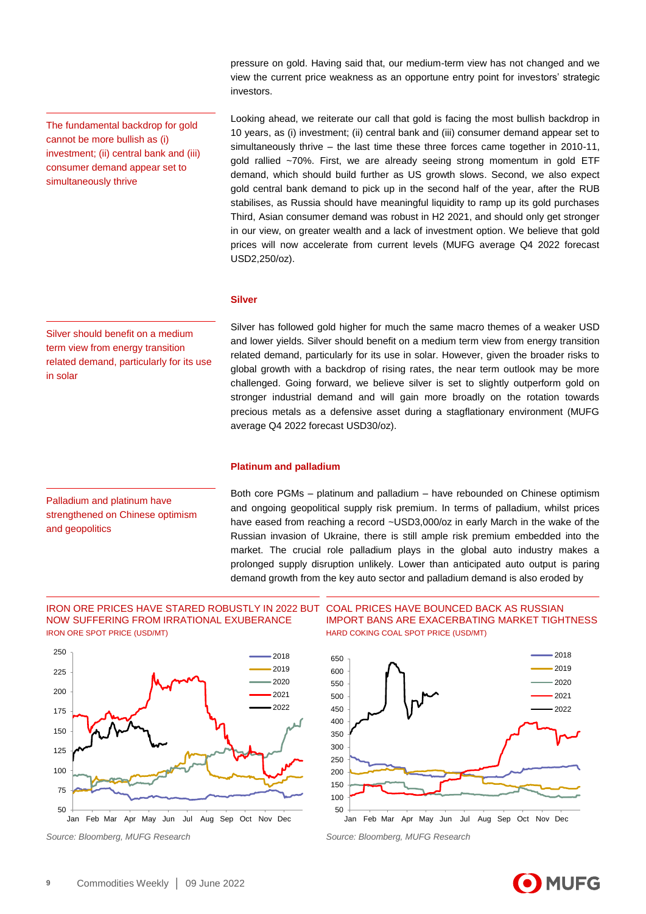pressure on gold. Having said that, our medium-term view has not changed and we view the current price weakness as an opportune entry point for investors' strategic investors.

The fundamental backdrop for gold cannot be more bullish as (i) investment; (ii) central bank and (iii) consumer demand appear set to simultaneously thrive

Looking ahead, we reiterate our call that gold is facing the most bullish backdrop in 10 years, as (i) investment; (ii) central bank and (iii) consumer demand appear set to simultaneously thrive – the last time these three forces came together in 2010-11, gold rallied ~70%. First, we are already seeing strong momentum in gold ETF demand, which should build further as US growth slows. Second, we also expect gold central bank demand to pick up in the second half of the year, after the RUB stabilises, as Russia should have meaningful liquidity to ramp up its gold purchases Third, Asian consumer demand was robust in H2 2021, and should only get stronger in our view, on greater wealth and a lack of investment option. We believe that gold prices will now accelerate from current levels (MUFG average Q4 2022 forecast USD2,250/oz).

## **Silver**

Silver should benefit on a medium term view from energy transition related demand, particularly for its use in solar

Silver has followed gold higher for much the same macro themes of a weaker USD and lower yields. Silver should benefit on a medium term view from energy transition related demand, particularly for its use in solar. However, given the broader risks to global growth with a backdrop of rising rates, the near term outlook may be more challenged. Going forward, we believe silver is set to slightly outperform gold on stronger industrial demand and will gain more broadly on the rotation towards precious metals as a defensive asset during a stagflationary environment (MUFG average Q4 2022 forecast USD30/oz).

## **Platinum and palladium**

Palladium and platinum have strengthened on Chinese optimism and geopolitics

Both core PGMs – platinum and palladium – have rebounded on Chinese optimism and ongoing geopolitical supply risk premium. In terms of palladium, whilst prices have eased from reaching a record ~USD3,000/oz in early March in the wake of the Russian invasion of Ukraine, there is still ample risk premium embedded into the market. The crucial role palladium plays in the global auto industry makes a prolonged supply disruption unlikely. Lower than anticipated auto output is paring demand growth from the key auto sector and palladium demand is also eroded by

## IRON ORE PRICES HAVE STARED ROBUSTLY IN 2022 BUT NOW SUFFERING FROM IRRATIONAL EXUBERANCE IRON ORE SPOT PRICE (USD/MT)



COAL PRICES HAVE BOUNCED BACK AS RUSSIAN IMPORT BANS ARE EXACERBATING MARKET TIGHTNESS HARD COKING COAL SPOT PRICE (USD/MT)



*Source: Bloomberg, MUFG Research Source: Bloomberg, MUFG Research*

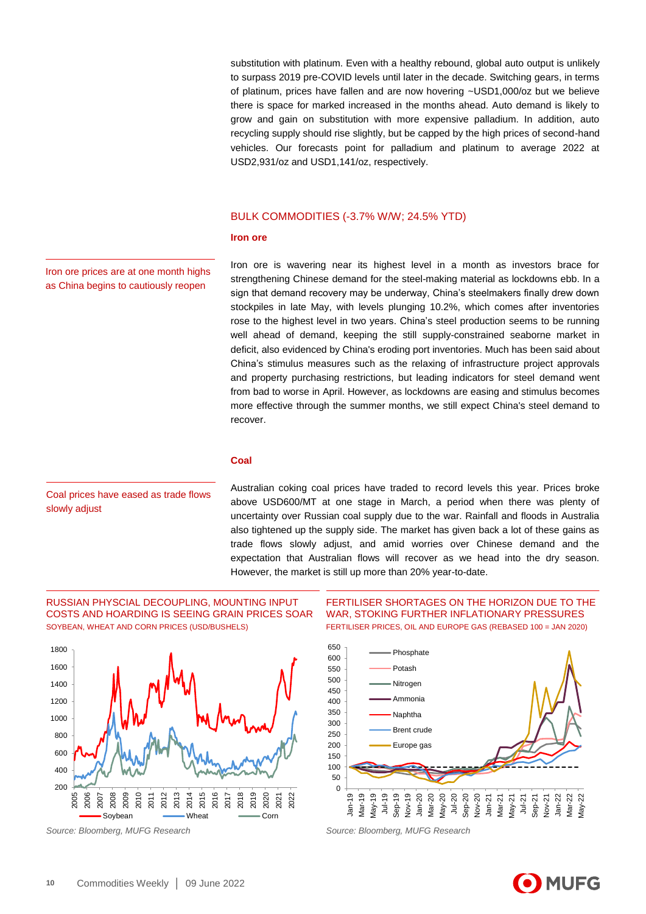substitution with platinum. Even with a healthy rebound, global auto output is unlikely to surpass 2019 pre-COVID levels until later in the decade. Switching gears, in terms of platinum, prices have fallen and are now hovering ~USD1,000/oz but we believe there is space for marked increased in the months ahead. Auto demand is likely to grow and gain on substitution with more expensive palladium. In addition, auto recycling supply should rise slightly, but be capped by the high prices of second-hand vehicles. Our forecasts point for palladium and platinum to average 2022 at USD2,931/oz and USD1,141/oz, respectively.

## BULK COMMODITIES (-3.7% W/W; 24.5% YTD)

## **Iron ore**

Iron ore prices are at one month highs as China begins to cautiously reopen

Iron ore is wavering near its highest level in a month as investors brace for strengthening Chinese demand for the steel-making material as lockdowns ebb. In a sign that demand recovery may be underway, China's steelmakers finally drew down stockpiles in late May, with levels plunging 10.2%, which comes after inventories rose to the highest level in two years. China's steel production seems to be running well ahead of demand, keeping the still supply-constrained seaborne market in deficit, also evidenced by China's eroding port inventories. Much has been said about China's stimulus measures such as the relaxing of infrastructure project approvals and property purchasing restrictions, but leading indicators for steel demand went from bad to worse in April. However, as lockdowns are easing and stimulus becomes more effective through the summer months, we still expect China's steel demand to recover.

### **Coal**

Coal prices have eased as trade flows slowly adjust

Australian coking coal prices have traded to record levels this year. Prices broke above USD600/MT at one stage in March, a period when there was plenty of uncertainty over Russian coal supply due to the war. Rainfall and floods in Australia also tightened up the supply side. The market has given back a lot of these gains as trade flows slowly adjust, and amid worries over Chinese demand and the expectation that Australian flows will recover as we head into the dry season. However, the market is still up more than 20% year-to-date.

## RUSSIAN PHYSCIAL DECOUPLING, MOUNTING INPUT COSTS AND HOARDING IS SEEING GRAIN PRICES SOAR SOYBEAN, WHEAT AND CORN PRICES (USD/BUSHELS)



FERTILISER SHORTAGES ON THE HORIZON DUE TO THE WAR, STOKING FURTHER INFLATIONARY PRESSURES FERTILISER PRICES, OIL AND EUROPE GAS (REBASED 100 = JAN 2020)



*Source: Bloomberg, MUFG Research Source: Bloomberg, MUFG Research*

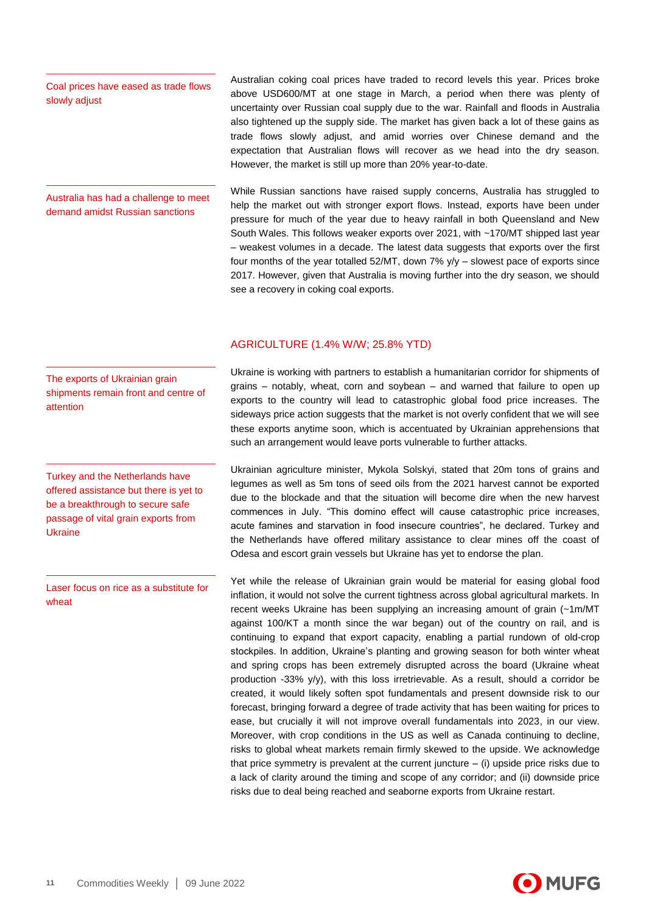## Coal prices have eased as trade flows slowly adjust

Australia has had a challenge to meet demand amidst Russian sanctions

Australian coking coal prices have traded to record levels this year. Prices broke above USD600/MT at one stage in March, a period when there was plenty of uncertainty over Russian coal supply due to the war. Rainfall and floods in Australia also tightened up the supply side. The market has given back a lot of these gains as trade flows slowly adjust, and amid worries over Chinese demand and the expectation that Australian flows will recover as we head into the dry season. However, the market is still up more than 20% year-to-date.

While Russian sanctions have raised supply concerns, Australia has struggled to help the market out with stronger export flows. Instead, exports have been under pressure for much of the year due to heavy rainfall in both Queensland and New South Wales. This follows weaker exports over 2021, with ~170/MT shipped last year – weakest volumes in a decade. The latest data suggests that exports over the first four months of the year totalled  $52/MT$ , down  $7\%$  y/y – slowest pace of exports since 2017. However, given that Australia is moving further into the dry season, we should see a recovery in coking coal exports.

## AGRICULTURE (1.4% W/W; 25.8% YTD)

The exports of Ukrainian grain shipments remain front and centre of attention

Turkey and the Netherlands have offered assistance but there is yet to be a breakthrough to secure safe passage of vital grain exports from Ukraine

Laser focus on rice as a substitute for wheat

Ukraine is working with partners to establish a humanitarian corridor for shipments of grains – notably, wheat, corn and soybean – and warned that failure to open up exports to the country will lead to catastrophic global food price increases. The sideways price action suggests that the market is not overly confident that we will see these exports anytime soon, which is accentuated by Ukrainian apprehensions that such an arrangement would leave ports vulnerable to further attacks.

Ukrainian agriculture minister, Mykola Solskyi, stated that 20m tons of grains and legumes as well as 5m tons of seed oils from the 2021 harvest cannot be exported due to the blockade and that the situation will become dire when the new harvest commences in July. "This domino effect will cause catastrophic price increases, acute famines and starvation in food insecure countries", he declared. Turkey and the Netherlands have offered military assistance to clear mines off the coast of Odesa and escort grain vessels but Ukraine has yet to endorse the plan.

Yet while the release of Ukrainian grain would be material for easing global food inflation, it would not solve the current tightness across global agricultural markets. In recent weeks Ukraine has been supplying an increasing amount of grain (~1m/MT against 100/KT a month since the war began) out of the country on rail, and is continuing to expand that export capacity, enabling a partial rundown of old-crop stockpiles. In addition, Ukraine's planting and growing season for both winter wheat and spring crops has been extremely disrupted across the board (Ukraine wheat production -33% y/y), with this loss irretrievable. As a result, should a corridor be created, it would likely soften spot fundamentals and present downside risk to our forecast, bringing forward a degree of trade activity that has been waiting for prices to ease, but crucially it will not improve overall fundamentals into 2023, in our view. Moreover, with crop conditions in the US as well as Canada continuing to decline, risks to global wheat markets remain firmly skewed to the upside. We acknowledge that price symmetry is prevalent at the current juncture  $-$  (i) upside price risks due to a lack of clarity around the timing and scope of any corridor; and (ii) downside price risks due to deal being reached and seaborne exports from Ukraine restart.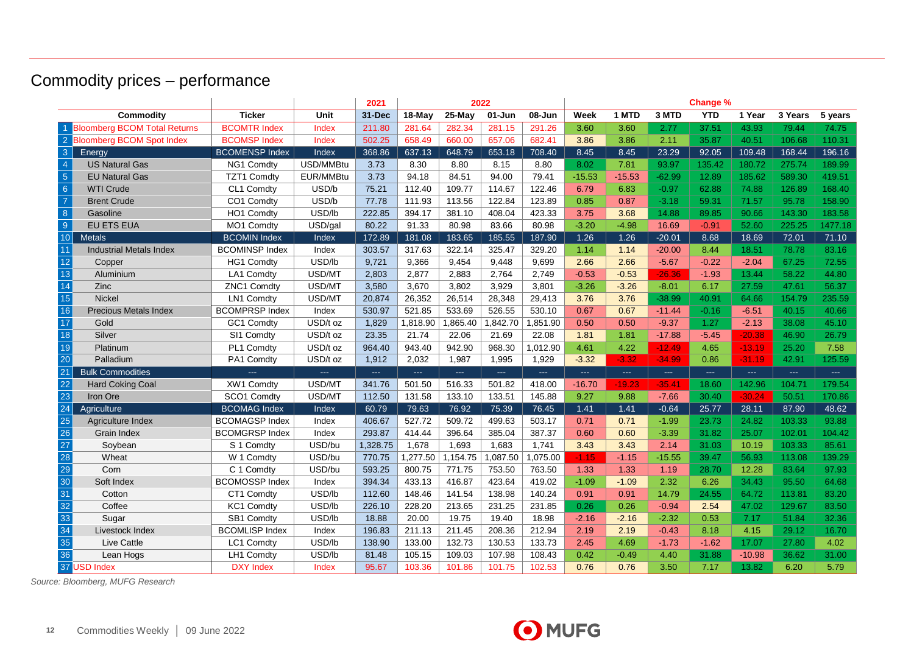# Commodity prices – performance

|                 |                                |                         |           | 2021                       | 2022     |                      |                                  |                            |          | <b>Change %</b>            |                                 |            |          |                            |         |
|-----------------|--------------------------------|-------------------------|-----------|----------------------------|----------|----------------------|----------------------------------|----------------------------|----------|----------------------------|---------------------------------|------------|----------|----------------------------|---------|
|                 | Commodity                      | <b>Ticker</b>           | Unit      | 31-Dec                     | 18-May   | $25-May$             | $01 - Jun$                       | 08-Jun                     | Week     | 1 MTD                      | 3 MTD                           | <b>YTD</b> | 1 Year   | 3 Years                    | 5 years |
|                 | 1 Bloomberg BCOM Total Returns | <b>BCOMTR Index</b>     | Index     | 211.80                     | 281.64   | 282.34               | 281.15                           | 291.26                     | 3.60     | 3.60                       | 2.77                            | 37.51      | 43.93    | 79.44                      | 74.75   |
|                 | 2 Bloomberg BCOM Spot Index    | <b>BCOMSP Index</b>     | Index     | 502.25                     | 658.49   | 660.00               | 657.06                           | 682.41                     | 3.86     | 3.86                       | 2.11                            | 35.87      | 40.51    | 106.68                     | 110.31  |
| $\mathbf{3}$    | Energy                         | <b>BCOMENSP Index</b>   | Index     | 368.86                     | 637.13   | 648.79               | 653.18                           | 708.40                     | 8.45     | 8.45                       | 23.29                           | 92.05      | 109.48   | 168.44                     | 196.16  |
| $\overline{4}$  | <b>US Natural Gas</b>          | NG1 Comdty              | USD/MMBtu | 3.73                       | 8.30     | 8.80                 | 8.15                             | 8.80                       | 8.02     | 7.81                       | 93.97                           | 135.42     | 180.72   | 275.74                     | 189.99  |
| $\sqrt{5}$      | <b>EU Natural Gas</b>          | <b>TZT1 Comdty</b>      | EUR/MMBtu | 3.73                       | 94.18    | 84.51                | 94.00                            | 79.41                      | $-15.53$ | $-15.53$                   | $-62.99$                        | 12.89      | 185.62   | 589.30                     | 419.51  |
| 6 <sup>°</sup>  | <b>WTI Crude</b>               | CL1 Comdty              | USD/b     | 75.21                      | 112.40   | 109.77               | 114.67                           | 122.46                     | 6.79     | 6.83                       | $-0.97$                         | 62.88      | 74.88    | 126.89                     | 168.40  |
| $\overline{7}$  | <b>Brent Crude</b>             | CO1 Comdty              | USD/b     | 77.78                      | 111.93   | 113.56               | 122.84                           | 123.89                     | 0.85     | 0.87                       | $-3.18$                         | 59.31      | 71.57    | 95.78                      | 158.90  |
| 8               | Gasoline                       | HO1 Comdty              | USD/lb    | 222.85                     | 394.17   | 381.10               | 408.04                           | 423.33                     | 3.75     | 3.68                       | 14.88                           | 89.85      | 90.66    | 143.30                     | 183.58  |
| $\overline{9}$  | <b>EU ETS EUA</b>              | MO1 Comdty              | USD/gal   | 80.22                      | 91.33    | 80.98                | 83.66                            | 80.98                      | $-3.20$  | $-4.98$                    | 16.69                           | $-0.91$    | 52.60    | 225.25                     | 1477.18 |
| 10              | <b>Metals</b>                  | <b>BCOMIN Index</b>     | Index     | 172.89                     | 181.08   | 183.65               | 185.55                           | 187.90                     | 1.26     | 1.26                       | $-20.01$                        | 8.68       | 18.69    | 72.01                      | 71.10   |
| 11              | <b>Industrial Metals Index</b> | <b>BCOMINSP Index</b>   | Index     | 303.57                     | 317.63   | 322.14               | 325.47                           | 329.20                     | 1.14     | 1.14                       | $-20.00$                        | 8.44       | 18.51    | 78.78                      | 83.16   |
| 12              | Copper                         | <b>HG1 Comdty</b>       | USD/lb    | 9,721                      | 9,366    | 9,454                | 9,448                            | 9,699                      | 2.66     | 2.66                       | $-5.67$                         | $-0.22$    | $-2.04$  | 67.25                      | 72.55   |
| $13$            | Aluminium                      | LA1 Comdty              | USD/MT    | 2,803                      | 2,877    | 2,883                | 2,764                            | 2,749                      | $-0.53$  | $-0.53$                    | $-26.36$                        | $-1.93$    | 13.44    | 58.22                      | 44.80   |
| 14              | Zinc                           | ZNC1 Comdty             | USD/MT    | 3,580                      | 3,670    | 3,802                | 3,929                            | 3,801                      | $-3.26$  | $-3.26$                    | $-8.01$                         | 6.17       | 27.59    | 47.61                      | 56.37   |
| $\overline{15}$ | <b>Nickel</b>                  | LN1 Comdty              | USD/MT    | 20,874                     | 26,352   | 26,514               | 28,348                           | 29.413                     | 3.76     | 3.76                       | $-38.99$                        | 40.91      | 64.66    | 154.79                     | 235.59  |
| 16              | <b>Precious Metals Index</b>   | <b>BCOMPRSP Index</b>   | Index     | 530.97                     | 521.85   | 533.69               | 526.55                           | 530.10                     | 0.67     | 0.67                       | $-11.44$                        | $-0.16$    | $-6.51$  | 40.15                      | 40.66   |
| $\overline{17}$ | Gold                           | GC1 Comdty              | USD/t oz  | 1,829                      | 1,818.90 | 1,865.40             | 1,842.70                         | 1,851.90                   | 0.50     | 0.50                       | $-9.37$                         | 1.27       | $-2.13$  | 38.08                      | 45.10   |
| 18              | Silver                         | SI1 Comdty              | USD/t oz  | 23.35                      | 21.74    | 22.06                | 21.69                            | 22.08                      | 1.81     | 1.81                       | $-17.88$                        | $-5.45$    | $-20.38$ | 46.90                      | 26.79   |
| 19              | Platinum                       | PL1 Comdty              | USD/t oz  | 964.40                     | 943.40   | 942.90               | 968.30                           | 1,012.90                   | 4.61     | 4.22                       | $-12.49$                        | 4.65       | $-13.19$ | 25.20                      | 7.58    |
| 20              | Palladium                      | PA1 Comdty              | USD/t oz  | 1,912                      | 2,032    | 1,987                | 1,995                            | 1,929                      | $-3.32$  | $-3.32$                    | $-34.99$                        | 0.86       | $-31.19$ | 42.91                      | 125.59  |
| 21              | <b>Bulk Commodities</b>        | aas.                    | aaan      | $\mathcal{L}_{\text{max}}$ | alar.    | $\sim$ $\sim$ $\sim$ | $\Delta\Delta\Delta\Delta\Delta$ | $\mathcal{L}_{\text{max}}$ | ш.       | $\mathcal{L}_{\text{max}}$ | $\frac{1}{2}$ and $\frac{1}{2}$ | ш.         | $\sim$   | $\mathcal{L}_{\text{max}}$ | $\sim$  |
| 22              | <b>Hard Coking Coal</b>        | XW1 Comdty              | USD/MT    | 341.76                     | 501.50   | 516.33               | 501.82                           | 418.00                     | $-16.70$ | $-19.23$                   | $-35.41$                        | 18.60      | 142.96   | 104.71                     | 179.54  |
| 23              | Iron Ore                       | SCO1 Comdty             | USD/MT    | 112.50                     | 131.58   | 133.10               | 133.51                           | 145.88                     | 9.27     | 9.88                       | $-7.66$                         | 30.40      | $-30.24$ | 50.51                      | 170.86  |
| 24              | Agriculture                    | <b>BCOMAG Index</b>     | Index     | 60.79                      | 79.63    | 76.92                | 75.39                            | 76.45                      | 1.41     | 1.41                       | $-0.64$                         | 25.77      | 28.11    | 87.90                      | 48.62   |
| $\frac{25}{26}$ | Agriculture Index              | <b>BCOMAGSP Index</b>   | Index     | 406.67                     | 527.72   | 509.72               | 499.63                           | 503.17                     | 0.71     | 0.71                       | $-1.99$                         | 23.73      | 24.82    | 103.33                     | 93.88   |
|                 | <b>Grain Index</b>             | <b>BCOMGRSP Index</b>   | Index     | 293.87                     | 414.44   | 396.64               | 385.04                           | 387.37                     | 0.60     | 0.60                       | $-3.39$                         | 31.82      | 25.07    | 102.01                     | 104.42  |
| $\overline{27}$ | Soybean                        | S 1 Comdty              | USD/bu    | 1.328.75                   | 1,678    | 1.693                | 1.683                            | 1.741                      | 3.43     | 3.43                       | 2.14                            | 31.03      | 10.19    | 103.33                     | 85.61   |
| 28              | Wheat                          | $\overline{W}$ 1 Comdty | USD/bu    | 770.75                     | 1,277.50 | 1,154.75             | 1,087.50                         | 1,075.00                   | $-1.15$  | $-1.15$                    | $-15.55$                        | 39.47      | 56.93    | 113.08                     | 139.29  |
| $\overline{29}$ | Corn                           | C 1 Comdty              | USD/bu    | 593.25                     | 800.75   | 771.75               | 753.50                           | 763.50                     | 1.33     | 1.33                       | 1.19                            | 28.70      | 12.28    | 83.64                      | 97.93   |
| 30              | Soft Index                     | <b>BCOMOSSP Index</b>   | Index     | 394.34                     | 433.13   | 416.87               | 423.64                           | 419.02                     | $-1.09$  | $-1.09$                    | 2.32                            | 6.26       | 34.43    | 95.50                      | 64.68   |
| 31              | Cotton                         | CT1 Comdty              | USD/lb    | 112.60                     | 148.46   | 141.54               | 138.98                           | 140.24                     | 0.91     | 0.91                       | 14.79                           | 24.55      | 64.72    | 113.81                     | 83.20   |
| 32              | Coffee                         | KC1 Comdty              | USD/lb    | 226.10                     | 228.20   | 213.65               | 231.25                           | 231.85                     | 0.26     | 0.26                       | $-0.94$                         | 2.54       | 47.02    | 129.67                     | 83.50   |
| 33              | Sugar                          | SB1 Comdty              | USD/lb    | 18.88                      | 20.00    | 19.75                | 19.40                            | 18.98                      | $-2.16$  | $-2.16$                    | $-2.32$                         | 0.53       | 7.17     | 51.84                      | 32.36   |
| 34              | Livestock Index                | <b>BCOMLISP Index</b>   | Index     | 196.83                     | 211.13   | 211.45               | 208.36                           | 212.94                     | 2.19     | 2.19                       | $-0.43$                         | 8.18       | 4.15     | 29.12                      | 16.70   |
| 35              | Live Cattle                    | LC1 Comdty              | USD/lb    | 138.90                     | 133.00   | 132.73               | 130.53                           | 133.73                     | 2.45     | 4.69                       | $-1.73$                         | $-1.62$    | 17.07    | 27.80                      | 4.02    |
| 36              | Lean Hogs                      | LH1 Comdty              | USD/lb    | 81.48                      | 105.15   | 109.03               | 107.98                           | 108.43                     | 0.42     | $-0.49$                    | 4.40                            | 31.88      | $-10.98$ | 36.62                      | 31.00   |
|                 | 37 USD Index                   | <b>DXY Index</b>        | Index     | 95.67                      | 103.36   | 101.86               | 101.75                           | 102.53                     | 0.76     | 0.76                       | 3.50                            | 7.17       | 13.82    | 6.20                       | 5.79    |

*Source: Bloomberg, MUFG Research*

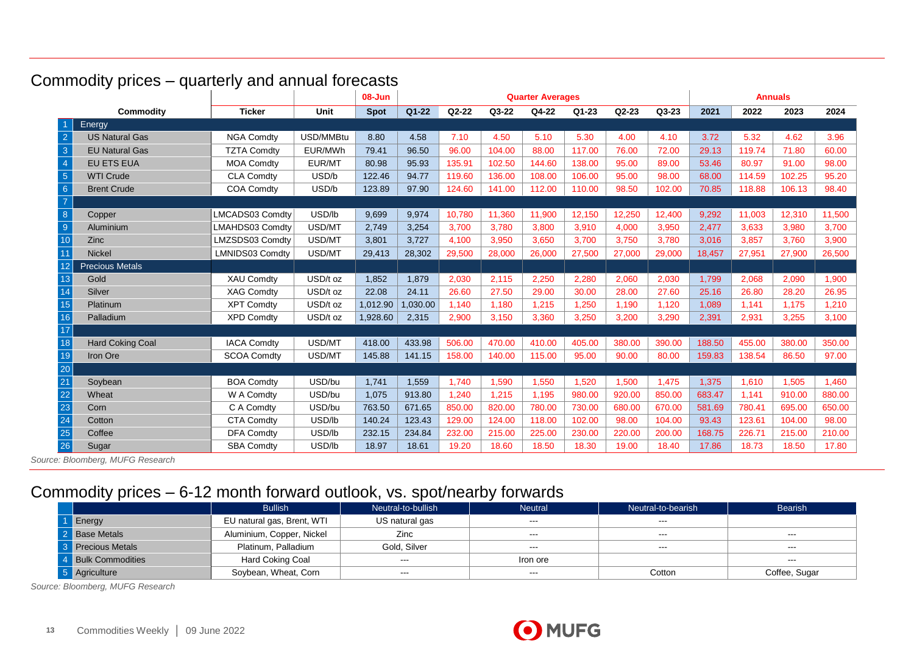|                 |                         |                    |             | $08 - Jun$  | <b>Quarter Averages</b> |           |        |        |           |           |         | <b>Annuals</b> |        |        |        |
|-----------------|-------------------------|--------------------|-------------|-------------|-------------------------|-----------|--------|--------|-----------|-----------|---------|----------------|--------|--------|--------|
|                 | Commodity               | <b>Ticker</b>      | <b>Unit</b> | <b>Spot</b> | $Q1 - 22$               | $Q2 - 22$ | Q3-22  | Q4-22  | $Q1 - 23$ | $Q2 - 23$ | $Q3-23$ | 2021           | 2022   | 2023   | 2024   |
|                 | Energy                  |                    |             |             |                         |           |        |        |           |           |         |                |        |        |        |
| $\overline{2}$  | <b>US Natural Gas</b>   | <b>NGA Comdty</b>  | USD/MMBtu   | 8.80        | 4.58                    | 7.10      | 4.50   | 5.10   | 5.30      | 4.00      | 4.10    | 3.72           | 5.32   | 4.62   | 3.96   |
| $\mathbf{3}$    | <b>EU Natural Gas</b>   | <b>TZTA Comdty</b> | EUR/MWh     | 79.41       | 96.50                   | 96.00     | 104.00 | 88.00  | 117.00    | 76.00     | 72.00   | 29.13          | 119.74 | 71.80  | 60.00  |
| $\overline{4}$  | <b>EU ETS EUA</b>       | <b>MOA Comdty</b>  | EUR/MT      | 80.98       | 95.93                   | 135.91    | 102.50 | 144.60 | 138.00    | 95.00     | 89.00   | 53.46          | 80.97  | 91.00  | 98.00  |
| $\sqrt{5}$      | <b>WTI Crude</b>        | <b>CLA Comdty</b>  | USD/b       | 122.46      | 94.77                   | 119.60    | 136.00 | 108.00 | 106.00    | 95.00     | 98.00   | 68.00          | 114.59 | 102.25 | 95.20  |
| $6\phantom{1}6$ | <b>Brent Crude</b>      | <b>COA Comdty</b>  | USD/b       | 123.89      | 97.90                   | 124.60    | 141.00 | 112.00 | 110.00    | 98.50     | 102.00  | 70.85          | 118.88 | 106.13 | 98.40  |
| $\overline{7}$  |                         |                    |             |             |                         |           |        |        |           |           |         |                |        |        |        |
| 8               | Copper                  | LMCADS03 Comdty    | USD/lb      | 9,699       | 9,974                   | 10.780    | 11.360 | 11.900 | 12,150    | 12,250    | 12,400  | 9,292          | 11,003 | 12,310 | 11,500 |
| 9               | Aluminium               | LMAHDS03 Comdty    | USD/MT      | 2,749       | 3,254                   | 3,700     | 3.780  | 3,800  | 3,910     | 4,000     | 3,950   | 2,477          | 3,633  | 3,980  | 3,700  |
| 10              | Zinc                    | LMZSDS03 Comdty    | USD/MT      | 3,801       | 3,727                   | 4,100     | 3,950  | 3,650  | 3,700     | 3,750     | 3.780   | 3.016          | 3,857  | 3.760  | 3.900  |
|                 | <b>Nickel</b>           | LMNIDS03 Comdty    | USD/MT      | 29,413      | 28,302                  | 29,500    | 28,000 | 26,000 | 27,500    | 27,000    | 29,000  | 18,457         | 27,951 | 27,900 | 26,500 |
| 12              | <b>Precious Metals</b>  |                    |             |             |                         |           |        |        |           |           |         |                |        |        |        |
| 13              | Gold                    | <b>XAU Comdty</b>  | USD/t oz    | 1.852       | 1.879                   | 2.030     | 2.115  | 2,250  | 2,280     | 2,060     | 2,030   | 1.799          | 2.068  | 2.090  | 1.900  |
| 14              | Silver                  | <b>XAG Comdty</b>  | USD/t oz    | 22.08       | 24.11                   | 26.60     | 27.50  | 29.00  | 30.00     | 28.00     | 27.60   | 25.16          | 26.80  | 28.20  | 26.95  |
| 15              | <b>Platinum</b>         | <b>XPT Comdty</b>  | USD/t oz    | 1,012.90    | 1,030.00                | 1,140     | 1,180  | 1,215  | 1,250     | 1,190     | 1,120   | 1,089          | 1,141  | 1,175  | 1,210  |
| 16              | Palladium               | <b>XPD Comdty</b>  | USD/t oz    | 1,928.60    | 2,315                   | 2,900     | 3,150  | 3,360  | 3,250     | 3,200     | 3,290   | 2.391          | 2,931  | 3,255  | 3,100  |
| 17              |                         |                    |             |             |                         |           |        |        |           |           |         |                |        |        |        |
| 18              | <b>Hard Coking Coal</b> | <b>IACA Comdty</b> | USD/MT      | 418.00      | 433.98                  | 506.00    | 470.00 | 410.00 | 405.00    | 380.00    | 390.00  | 188.50         | 455.00 | 380.00 | 350.00 |
| 19              | Iron Ore                | <b>SCOA Comdty</b> | USD/MT      | 145.88      | 141.15                  | 158.00    | 140.00 | 115.00 | 95.00     | 90.00     | 80.00   | 159.83         | 138.54 | 86.50  | 97.00  |
| 20              |                         |                    |             |             |                         |           |        |        |           |           |         |                |        |        |        |
| 21              | Soybean                 | <b>BOA Comdty</b>  | USD/bu      | 1,741       | 1,559                   | 1,740     | 1,590  | 1,550  | 1,520     | 1,500     | 1,475   | 1,375          | 1,610  | 1,505  | 1,460  |
| 22              | Wheat                   | W A Comdty         | USD/bu      | 1,075       | 913.80                  | 1.240     | 1.215  | 1,195  | 980.00    | 920.00    | 850.00  | 683.47         | 1,141  | 910.00 | 880.00 |
| 23              | Corn                    | C A Comdty         | USD/bu      | 763.50      | 671.65                  | 850.00    | 820.00 | 780.00 | 730.00    | 680.00    | 670.00  | 581.69         | 780.41 | 695.00 | 650.00 |
| 24              | Cotton                  | <b>CTA Comdty</b>  | USD/lb      | 140.24      | 123.43                  | 129.00    | 124.00 | 118.00 | 102.00    | 98.00     | 104.00  | 93.43          | 123.61 | 104.00 | 98.00  |
| 25              | Coffee                  | <b>DFA Comdty</b>  | USD/lb      | 232.15      | 234.84                  | 232.00    | 215.00 | 225.00 | 230.00    | 220.00    | 200.00  | 168.75         | 226.71 | 215.00 | 210.00 |
| 26              | Sugar                   | <b>SBA Comdty</b>  | USD/lb      | 18.97       | 18.61                   | 19.20     | 18.60  | 18.50  | 18.30     | 19.00     | 18.40   | 17.86          | 18.73  | 18.50  | 17.80  |

# Commodity prices – quarterly and annual forecasts

*Source: Bloomberg, MUFG Research*

# Commodity prices – 6-12 month forward outlook, vs. spot/nearby forwards

|                    | <b>Bullish</b>             | Neutral-to-bullish | <b>Neutral</b> | Neutral-to-bearish | <b>Bearish</b>       |
|--------------------|----------------------------|--------------------|----------------|--------------------|----------------------|
| 1 Energy           | EU natural gas, Brent, WTI | US natural gas     | $\frac{1}{2}$  | $- - -$            |                      |
| 2 Base Metals      | Aluminium, Copper, Nickel  | Zinc               | $\sim$ $\sim$  | $- - -$            | $- - -$              |
| 3 Precious Metals  | Platinum, Palladium        | Gold, Silver       | $\sim$ $\sim$  | $  -$              | $\sim$ $\sim$ $\sim$ |
| 4 Bulk Commodities | <b>Hard Coking Coal</b>    | $\sim$ $\sim$      | Iron ore       |                    | $- - -$              |
| 5 Agriculture      | Soybean, Wheat, Corn       | $--$               | $\frac{1}{2}$  | Cotton             | Coffee, Sugar        |

*Source: Bloomberg, MUFG Research*

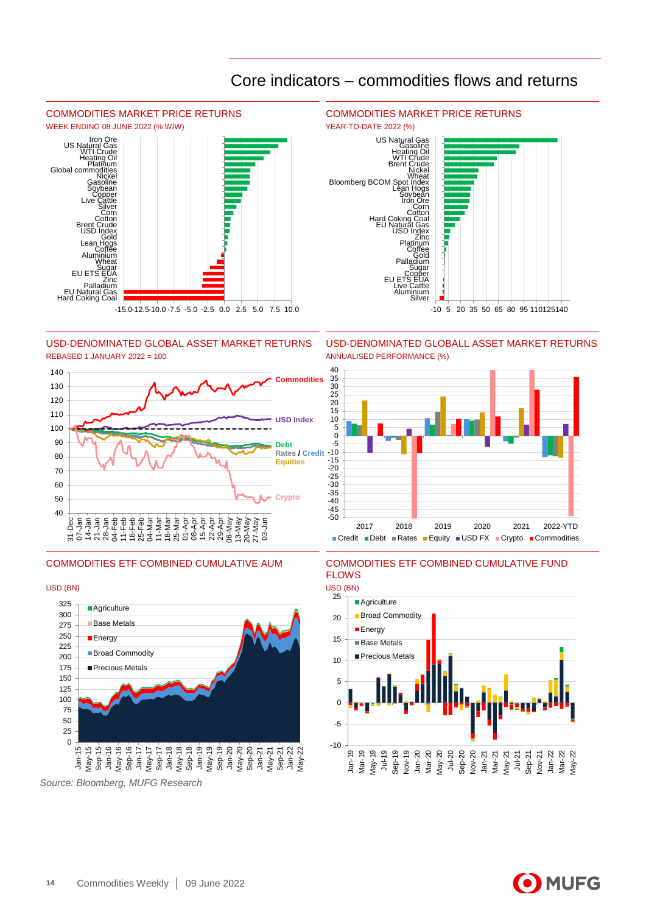

-50 -45 -40 -35  $-30$ -25 -20 -15 -10 -5  $\overline{0}$  $\frac{18}{5}$ 10  $\overline{15}$ 20 25 30  $35$ 40

## Core indicators – commodities flows and returns

USD-DENOMINATED GLOBAL ASSET MARKET RETURNS USD-DENOMINATED GLOBALL ASSET MARKET RETURNS REBASED 1 JANUARY 2022 = 100 ANNUALISED PERFORMANCE (%)





*Source: Bloomberg, MUFG Research*

## 2017 2018 2019 2020 2021 2022-YTD ■ Credit ■ Debt ■ Rates ■ Equity ■ USD FX ■ Crypto ■ Commodities



COMMODITIES ETF COMBINED CUMULATIVE AUM COMMODITIES ETF COMBINED CUMULATIVE FUND FLOWS

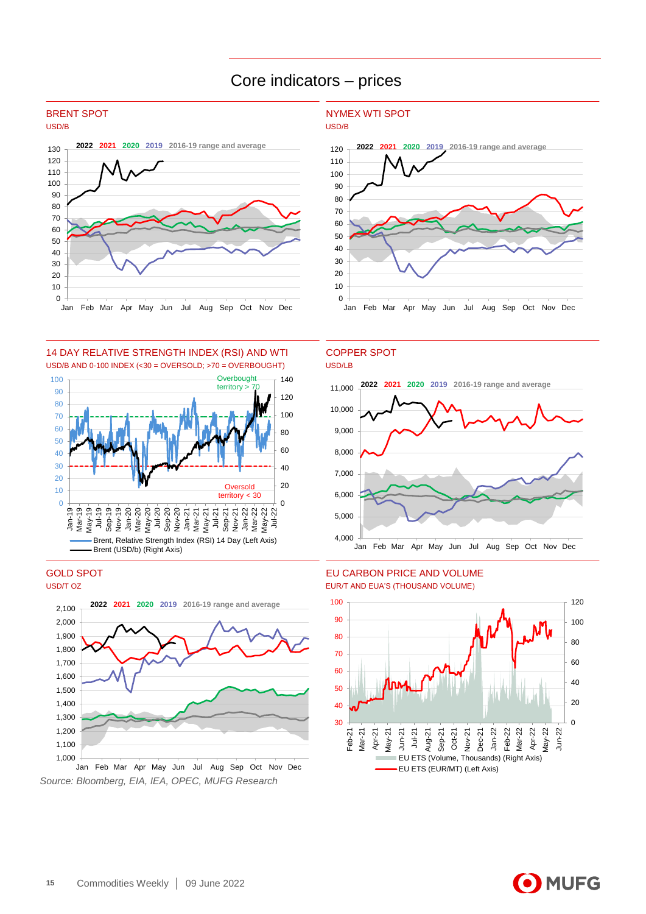## Core indicators – prices





14 DAY RELATIVE STRENGTH INDEX (RSI) AND WTI COPPER SPOT USD/B AND 0-100 INDEX (<30 = OVERSOLD; >70 = OVERBOUGHT) USD/LB





*Source: Bloomberg, EIA, IEA, OPEC, MUFG Research*

## BRENT SPOT NYMEX WTI SPOT





## GOLD SPOT EU CARBON PRICE AND VOLUME



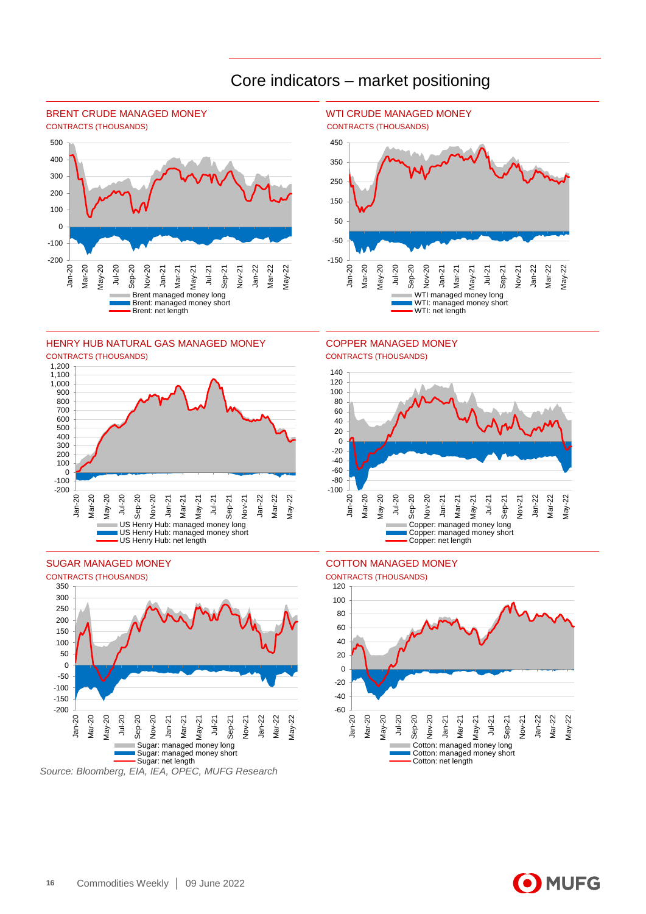

## Core indicators – market positioning











# CONTRACTS (THOUSANDS) CONTRACTS (THOUSANDS)





SUGAR MANAGED MONEY **COTTON MANAGED MONEY** 



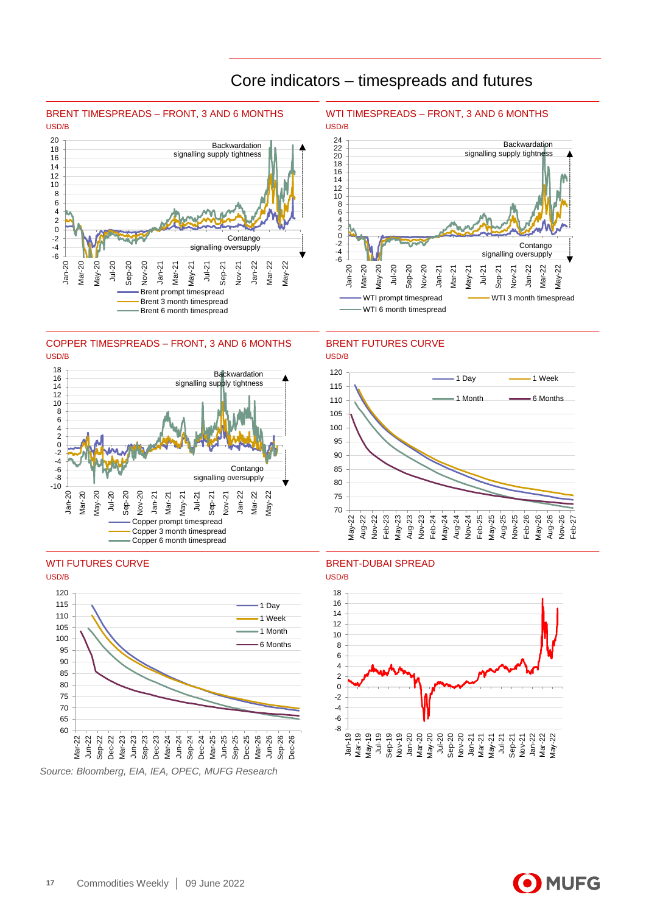

## Core indicators – timespreads and futures



## COPPER TIMESPREADS - FRONT, 3 AND 6 MONTHS BRENT FUTURES CURVE USD/B USD/B







## WTI FUTURES CURVE BRENT-DUBAI SPREAD



O MUFG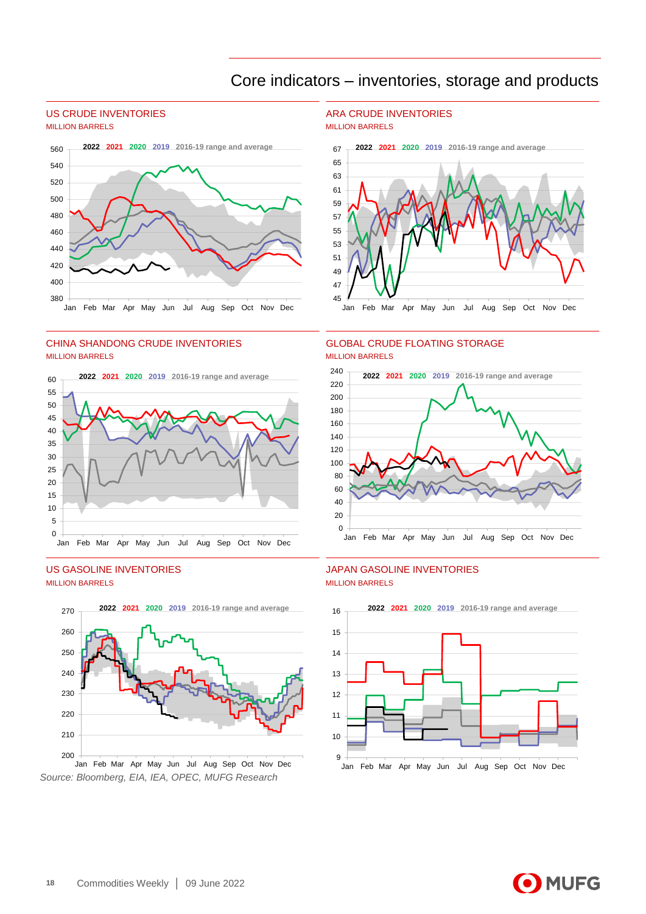## Core indicators – inventories, storage and products

# MILLION BARRELS MILLION BARRELS



## CHINA SHANDONG CRUDE INVENTORIES GLOBAL CRUDE FLOATING STORAGE MILLION BARRELS **MILLION BARRELS**



# MILLION BARRELS MILLION BARRELS



*Source: Bloomberg, EIA, IEA, OPEC, MUFG Research*

# US CRUDE INVENTORIES ARA CRUDE INVENTORIES





# US GASOLINE INVENTORIES JAPAN GASOLINE INVENTORIES



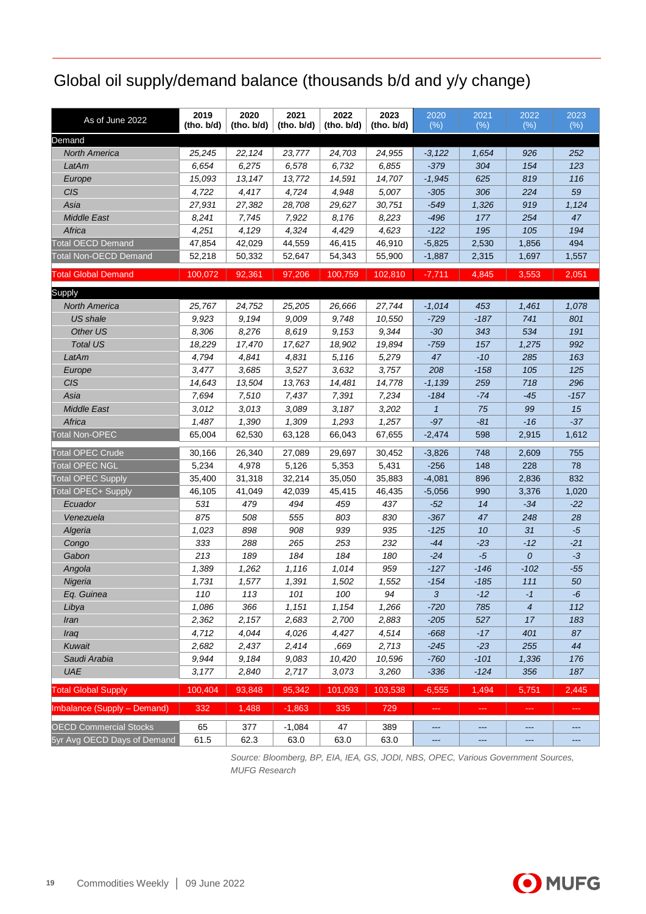# Global oil supply/demand balance (thousands b/d and y/y change)

| Demand<br>25,245<br>22,124<br>23,777<br>24,703<br>24,955<br>252<br><b>North America</b><br>$-3,122$<br>1,654<br>926<br>6,654<br>6,275<br>6,732<br>154<br>123<br>LatAm<br>6,578<br>6,855<br>$-379$<br>304<br>15,093<br>13,147<br>13,772<br>14,591<br>14,707<br>819<br>116<br>Europe<br>$-1,945$<br>625<br><b>CIS</b><br>4,722<br>4,417<br>4,724<br>4,948<br>5,007<br>306<br>224<br>59<br>$-305$<br>Asia<br>27,931<br>27,382<br>28,708<br>29,627<br>30,751<br>$-549$<br>1,326<br>919<br>1,124<br><b>Middle East</b><br>8,241<br>7,745<br>7,922<br>8,176<br>8,223<br>$-496$<br>254<br>47<br>177<br>4,251<br>4,129<br>105<br>Africa<br>4,324<br>4,429<br>4,623<br>$-122$<br>195<br>194<br><b>Total OECD Demand</b><br>494<br>47,854<br>42,029<br>44,559<br>46,415<br>46,910<br>$-5,825$<br>2,530<br>1,856<br><b>Total Non-OECD Demand</b><br>52,218<br>50,332<br>54,343<br>55,900<br>1,557<br>52,647<br>$-1,887$<br>2,315<br>1,697<br>100,072<br>92,361<br>97,206<br>$-7,711$<br>4,845<br>3,553<br><b>Total Global Demand</b><br>100,759<br>102,810<br>2,051<br>24,752<br>25,205<br>27,744<br>453<br><b>North America</b><br>25,767<br>26,666<br>$-1,014$<br>1,461<br>1,078<br>9,923<br>9,194<br>9,009<br>9,748<br>10,550<br>$-187$<br>741<br>801<br>US shale<br>$-729$<br>8,619<br>9,344<br>534<br>Other US<br>8,306<br>8,276<br>9,153<br>$-30$<br>343<br>191<br><b>Total US</b><br>18,229<br>17,470<br>17,627<br>18,902<br>19,894<br>$-759$<br>992<br>157<br>1,275<br>LatAm<br>4,794<br>4,841<br>4,831<br>5,116<br>5,279<br>47<br>$-10$<br>285<br>163<br>3,477<br>3,685<br>3,527<br>3,632<br>3,757<br>208<br>$-158$<br>105<br>125<br>Europe<br>296<br>CIS<br>14,643<br>13,504<br>13,763<br>14,481<br>14,778<br>$-1,139$<br>259<br>718<br>Asia<br>7,694<br>7,510<br>7,437<br>7,391<br>7,234<br>$-184$<br>$-74$<br>$-45$<br>$-157$<br>15<br><b>Middle East</b><br>3,012<br>3,013<br>3,089<br>3,187<br>3,202<br>$\mathbf{1}$<br>75<br>99<br>Africa<br>$-37$<br>1,487<br>1,390<br>1,309<br>1,293<br>1,257<br>$-97$<br>$-81$<br>$-16$<br>62,530<br>67,655<br><b>Total Non-OPEC</b><br>65,004<br>63,128<br>66,043<br>598<br>1,612<br>$-2,474$<br>2,915<br><b>Total OPEC Crude</b><br>30,166<br>26,340<br>27,089<br>29,697<br>30,452<br>$-3,826$<br>748<br>755<br>2,609<br><b>Total OPEC NGL</b><br>5,234<br>4,978<br>5,353<br>78<br>5,126<br>5,431<br>$-256$<br>148<br>228<br><b>Total OPEC Supply</b><br>35,400<br>32,214<br>35,050<br>35,883<br>832<br>31,318<br>$-4,081$<br>896<br>2,836<br><b>Total OPEC+ Supply</b><br>45,415<br>46,105<br>41,049<br>42,039<br>46,435<br>$-5,056$<br>990<br>3,376<br>1,020<br>494<br>459<br>531<br>479<br>437<br>$-22$<br>Ecuador<br>$-52$<br>14<br>$-34$<br>875<br>508<br>555<br>803<br>830<br>$-367$<br>248<br>28<br>Venezuela<br>47<br>1,023<br>898<br>908<br>939<br>935<br>$-125$<br>10<br>31<br>$-5$<br>Algeria<br>265<br>333<br>288<br>253<br>232<br>-44<br>$-23$<br>$-12$<br>$-21$<br>Congo<br>184<br>213<br>189<br>184<br>0<br>Gabon<br>180<br>$-24$<br>-5<br>$-3$<br>959<br>Angola<br>1,389<br>1,262<br>1,116<br>1,014<br>$-127$<br>$-146$<br>$-102$<br>$-55$<br>1,731<br>1,577<br>1,391<br>1,502<br>1,552<br>$-154$<br>111<br>50<br>Nigeria<br>-185<br>Eq. Guinea<br>110<br>113<br>101<br>100<br>94<br>$\mathbf{3}$<br>$-12$<br>$-6$<br>-1<br>366<br>1,151<br>1,154<br>1,266<br>$-720$<br>785<br>4<br>112<br>Libya<br>1,086<br>2,157<br>2,362<br>2,683<br>2,700<br>2,883<br>$-205$<br>527<br>17<br>183<br>Iran<br>4,044<br>4,026<br>4,514<br>4,712<br>4,427<br>$-668$<br>$-17$<br>401<br>87<br>Iraq<br>Kuwait<br>2,682<br>2,437<br>2,414<br>,669<br>2,713<br>$-245$<br>$-23$<br>255<br>44<br>9.944<br>Saudi Arabia<br>9,184<br>9,083<br>10,420<br>10,596<br>$-760$<br>$-101$<br>1,336<br>176<br>UAE<br>3,177<br>2,840<br>2,717<br>3,073<br>3,260<br>$-336$<br>$-124$<br>356<br>187<br>95,342<br><b>Total Global Supply</b><br>100,404<br>93,848<br>101,093<br>103,538<br>$-6,555$<br>1,494<br>5,751<br>2,445<br>1,488<br>Imbalance (Supply - Demand)<br>332<br>$-1,863$<br>335<br>729<br>шL,<br>المست<br><b>Sec</b><br>aaa<br><b>OECD Commercial Stocks</b><br>65<br>377<br>$-1,084$<br>47<br>389<br>$\qquad \qquad - -$<br>---<br>---<br>---<br>5yr Avg OECD Days of Demand<br>63.0<br>63.0<br>61.5<br>62.3<br>63.0<br>$\qquad \qquad - -$<br>---<br>---<br>--- | As of June 2022 | 2019<br>(ho. b/d) | 2020<br>(ho. b/d) | 2021<br>(ho. b/d) | 2022<br>(ho. b/d) | 2023<br>(ho. b/d) | 2020<br>(% ) | 2021<br>(% ) | 2022<br>(% ) | 2023<br>(% ) |
|---------------------------------------------------------------------------------------------------------------------------------------------------------------------------------------------------------------------------------------------------------------------------------------------------------------------------------------------------------------------------------------------------------------------------------------------------------------------------------------------------------------------------------------------------------------------------------------------------------------------------------------------------------------------------------------------------------------------------------------------------------------------------------------------------------------------------------------------------------------------------------------------------------------------------------------------------------------------------------------------------------------------------------------------------------------------------------------------------------------------------------------------------------------------------------------------------------------------------------------------------------------------------------------------------------------------------------------------------------------------------------------------------------------------------------------------------------------------------------------------------------------------------------------------------------------------------------------------------------------------------------------------------------------------------------------------------------------------------------------------------------------------------------------------------------------------------------------------------------------------------------------------------------------------------------------------------------------------------------------------------------------------------------------------------------------------------------------------------------------------------------------------------------------------------------------------------------------------------------------------------------------------------------------------------------------------------------------------------------------------------------------------------------------------------------------------------------------------------------------------------------------------------------------------------------------------------------------------------------------------------------------------------------------------------------------------------------------------------------------------------------------------------------------------------------------------------------------------------------------------------------------------------------------------------------------------------------------------------------------------------------------------------------------------------------------------------------------------------------------------------------------------------------------------------------------------------------------------------------------------------------------------------------------------------------------------------------------------------------------------------------------------------------------------------------------------------------------------------------------------------------------------------------------------------------------------------------------------------------------------------------------------------------------------------------------------------------------------------------------------------------------------------------------------------------------------------------------------------------------------------------------------------------------------------------------------------------------------------------------------------------------------------------------------------------------------------------------------------------------------------------------------------------------------------------------------------------------------------------------------------------------------------------------------------------|-----------------|-------------------|-------------------|-------------------|-------------------|-------------------|--------------|--------------|--------------|--------------|
|                                                                                                                                                                                                                                                                                                                                                                                                                                                                                                                                                                                                                                                                                                                                                                                                                                                                                                                                                                                                                                                                                                                                                                                                                                                                                                                                                                                                                                                                                                                                                                                                                                                                                                                                                                                                                                                                                                                                                                                                                                                                                                                                                                                                                                                                                                                                                                                                                                                                                                                                                                                                                                                                                                                                                                                                                                                                                                                                                                                                                                                                                                                                                                                                                                                                                                                                                                                                                                                                                                                                                                                                                                                                                                                                                                                                                                                                                                                                                                                                                                                                                                                                                                                                                                                                                                         |                 |                   |                   |                   |                   |                   |              |              |              |              |
|                                                                                                                                                                                                                                                                                                                                                                                                                                                                                                                                                                                                                                                                                                                                                                                                                                                                                                                                                                                                                                                                                                                                                                                                                                                                                                                                                                                                                                                                                                                                                                                                                                                                                                                                                                                                                                                                                                                                                                                                                                                                                                                                                                                                                                                                                                                                                                                                                                                                                                                                                                                                                                                                                                                                                                                                                                                                                                                                                                                                                                                                                                                                                                                                                                                                                                                                                                                                                                                                                                                                                                                                                                                                                                                                                                                                                                                                                                                                                                                                                                                                                                                                                                                                                                                                                                         |                 |                   |                   |                   |                   |                   |              |              |              |              |
|                                                                                                                                                                                                                                                                                                                                                                                                                                                                                                                                                                                                                                                                                                                                                                                                                                                                                                                                                                                                                                                                                                                                                                                                                                                                                                                                                                                                                                                                                                                                                                                                                                                                                                                                                                                                                                                                                                                                                                                                                                                                                                                                                                                                                                                                                                                                                                                                                                                                                                                                                                                                                                                                                                                                                                                                                                                                                                                                                                                                                                                                                                                                                                                                                                                                                                                                                                                                                                                                                                                                                                                                                                                                                                                                                                                                                                                                                                                                                                                                                                                                                                                                                                                                                                                                                                         |                 |                   |                   |                   |                   |                   |              |              |              |              |
|                                                                                                                                                                                                                                                                                                                                                                                                                                                                                                                                                                                                                                                                                                                                                                                                                                                                                                                                                                                                                                                                                                                                                                                                                                                                                                                                                                                                                                                                                                                                                                                                                                                                                                                                                                                                                                                                                                                                                                                                                                                                                                                                                                                                                                                                                                                                                                                                                                                                                                                                                                                                                                                                                                                                                                                                                                                                                                                                                                                                                                                                                                                                                                                                                                                                                                                                                                                                                                                                                                                                                                                                                                                                                                                                                                                                                                                                                                                                                                                                                                                                                                                                                                                                                                                                                                         |                 |                   |                   |                   |                   |                   |              |              |              |              |
|                                                                                                                                                                                                                                                                                                                                                                                                                                                                                                                                                                                                                                                                                                                                                                                                                                                                                                                                                                                                                                                                                                                                                                                                                                                                                                                                                                                                                                                                                                                                                                                                                                                                                                                                                                                                                                                                                                                                                                                                                                                                                                                                                                                                                                                                                                                                                                                                                                                                                                                                                                                                                                                                                                                                                                                                                                                                                                                                                                                                                                                                                                                                                                                                                                                                                                                                                                                                                                                                                                                                                                                                                                                                                                                                                                                                                                                                                                                                                                                                                                                                                                                                                                                                                                                                                                         |                 |                   |                   |                   |                   |                   |              |              |              |              |
|                                                                                                                                                                                                                                                                                                                                                                                                                                                                                                                                                                                                                                                                                                                                                                                                                                                                                                                                                                                                                                                                                                                                                                                                                                                                                                                                                                                                                                                                                                                                                                                                                                                                                                                                                                                                                                                                                                                                                                                                                                                                                                                                                                                                                                                                                                                                                                                                                                                                                                                                                                                                                                                                                                                                                                                                                                                                                                                                                                                                                                                                                                                                                                                                                                                                                                                                                                                                                                                                                                                                                                                                                                                                                                                                                                                                                                                                                                                                                                                                                                                                                                                                                                                                                                                                                                         |                 |                   |                   |                   |                   |                   |              |              |              |              |
|                                                                                                                                                                                                                                                                                                                                                                                                                                                                                                                                                                                                                                                                                                                                                                                                                                                                                                                                                                                                                                                                                                                                                                                                                                                                                                                                                                                                                                                                                                                                                                                                                                                                                                                                                                                                                                                                                                                                                                                                                                                                                                                                                                                                                                                                                                                                                                                                                                                                                                                                                                                                                                                                                                                                                                                                                                                                                                                                                                                                                                                                                                                                                                                                                                                                                                                                                                                                                                                                                                                                                                                                                                                                                                                                                                                                                                                                                                                                                                                                                                                                                                                                                                                                                                                                                                         |                 |                   |                   |                   |                   |                   |              |              |              |              |
|                                                                                                                                                                                                                                                                                                                                                                                                                                                                                                                                                                                                                                                                                                                                                                                                                                                                                                                                                                                                                                                                                                                                                                                                                                                                                                                                                                                                                                                                                                                                                                                                                                                                                                                                                                                                                                                                                                                                                                                                                                                                                                                                                                                                                                                                                                                                                                                                                                                                                                                                                                                                                                                                                                                                                                                                                                                                                                                                                                                                                                                                                                                                                                                                                                                                                                                                                                                                                                                                                                                                                                                                                                                                                                                                                                                                                                                                                                                                                                                                                                                                                                                                                                                                                                                                                                         |                 |                   |                   |                   |                   |                   |              |              |              |              |
|                                                                                                                                                                                                                                                                                                                                                                                                                                                                                                                                                                                                                                                                                                                                                                                                                                                                                                                                                                                                                                                                                                                                                                                                                                                                                                                                                                                                                                                                                                                                                                                                                                                                                                                                                                                                                                                                                                                                                                                                                                                                                                                                                                                                                                                                                                                                                                                                                                                                                                                                                                                                                                                                                                                                                                                                                                                                                                                                                                                                                                                                                                                                                                                                                                                                                                                                                                                                                                                                                                                                                                                                                                                                                                                                                                                                                                                                                                                                                                                                                                                                                                                                                                                                                                                                                                         |                 |                   |                   |                   |                   |                   |              |              |              |              |
|                                                                                                                                                                                                                                                                                                                                                                                                                                                                                                                                                                                                                                                                                                                                                                                                                                                                                                                                                                                                                                                                                                                                                                                                                                                                                                                                                                                                                                                                                                                                                                                                                                                                                                                                                                                                                                                                                                                                                                                                                                                                                                                                                                                                                                                                                                                                                                                                                                                                                                                                                                                                                                                                                                                                                                                                                                                                                                                                                                                                                                                                                                                                                                                                                                                                                                                                                                                                                                                                                                                                                                                                                                                                                                                                                                                                                                                                                                                                                                                                                                                                                                                                                                                                                                                                                                         |                 |                   |                   |                   |                   |                   |              |              |              |              |
|                                                                                                                                                                                                                                                                                                                                                                                                                                                                                                                                                                                                                                                                                                                                                                                                                                                                                                                                                                                                                                                                                                                                                                                                                                                                                                                                                                                                                                                                                                                                                                                                                                                                                                                                                                                                                                                                                                                                                                                                                                                                                                                                                                                                                                                                                                                                                                                                                                                                                                                                                                                                                                                                                                                                                                                                                                                                                                                                                                                                                                                                                                                                                                                                                                                                                                                                                                                                                                                                                                                                                                                                                                                                                                                                                                                                                                                                                                                                                                                                                                                                                                                                                                                                                                                                                                         |                 |                   |                   |                   |                   |                   |              |              |              |              |
|                                                                                                                                                                                                                                                                                                                                                                                                                                                                                                                                                                                                                                                                                                                                                                                                                                                                                                                                                                                                                                                                                                                                                                                                                                                                                                                                                                                                                                                                                                                                                                                                                                                                                                                                                                                                                                                                                                                                                                                                                                                                                                                                                                                                                                                                                                                                                                                                                                                                                                                                                                                                                                                                                                                                                                                                                                                                                                                                                                                                                                                                                                                                                                                                                                                                                                                                                                                                                                                                                                                                                                                                                                                                                                                                                                                                                                                                                                                                                                                                                                                                                                                                                                                                                                                                                                         | Supply          |                   |                   |                   |                   |                   |              |              |              |              |
|                                                                                                                                                                                                                                                                                                                                                                                                                                                                                                                                                                                                                                                                                                                                                                                                                                                                                                                                                                                                                                                                                                                                                                                                                                                                                                                                                                                                                                                                                                                                                                                                                                                                                                                                                                                                                                                                                                                                                                                                                                                                                                                                                                                                                                                                                                                                                                                                                                                                                                                                                                                                                                                                                                                                                                                                                                                                                                                                                                                                                                                                                                                                                                                                                                                                                                                                                                                                                                                                                                                                                                                                                                                                                                                                                                                                                                                                                                                                                                                                                                                                                                                                                                                                                                                                                                         |                 |                   |                   |                   |                   |                   |              |              |              |              |
|                                                                                                                                                                                                                                                                                                                                                                                                                                                                                                                                                                                                                                                                                                                                                                                                                                                                                                                                                                                                                                                                                                                                                                                                                                                                                                                                                                                                                                                                                                                                                                                                                                                                                                                                                                                                                                                                                                                                                                                                                                                                                                                                                                                                                                                                                                                                                                                                                                                                                                                                                                                                                                                                                                                                                                                                                                                                                                                                                                                                                                                                                                                                                                                                                                                                                                                                                                                                                                                                                                                                                                                                                                                                                                                                                                                                                                                                                                                                                                                                                                                                                                                                                                                                                                                                                                         |                 |                   |                   |                   |                   |                   |              |              |              |              |
|                                                                                                                                                                                                                                                                                                                                                                                                                                                                                                                                                                                                                                                                                                                                                                                                                                                                                                                                                                                                                                                                                                                                                                                                                                                                                                                                                                                                                                                                                                                                                                                                                                                                                                                                                                                                                                                                                                                                                                                                                                                                                                                                                                                                                                                                                                                                                                                                                                                                                                                                                                                                                                                                                                                                                                                                                                                                                                                                                                                                                                                                                                                                                                                                                                                                                                                                                                                                                                                                                                                                                                                                                                                                                                                                                                                                                                                                                                                                                                                                                                                                                                                                                                                                                                                                                                         |                 |                   |                   |                   |                   |                   |              |              |              |              |
|                                                                                                                                                                                                                                                                                                                                                                                                                                                                                                                                                                                                                                                                                                                                                                                                                                                                                                                                                                                                                                                                                                                                                                                                                                                                                                                                                                                                                                                                                                                                                                                                                                                                                                                                                                                                                                                                                                                                                                                                                                                                                                                                                                                                                                                                                                                                                                                                                                                                                                                                                                                                                                                                                                                                                                                                                                                                                                                                                                                                                                                                                                                                                                                                                                                                                                                                                                                                                                                                                                                                                                                                                                                                                                                                                                                                                                                                                                                                                                                                                                                                                                                                                                                                                                                                                                         |                 |                   |                   |                   |                   |                   |              |              |              |              |
|                                                                                                                                                                                                                                                                                                                                                                                                                                                                                                                                                                                                                                                                                                                                                                                                                                                                                                                                                                                                                                                                                                                                                                                                                                                                                                                                                                                                                                                                                                                                                                                                                                                                                                                                                                                                                                                                                                                                                                                                                                                                                                                                                                                                                                                                                                                                                                                                                                                                                                                                                                                                                                                                                                                                                                                                                                                                                                                                                                                                                                                                                                                                                                                                                                                                                                                                                                                                                                                                                                                                                                                                                                                                                                                                                                                                                                                                                                                                                                                                                                                                                                                                                                                                                                                                                                         |                 |                   |                   |                   |                   |                   |              |              |              |              |
|                                                                                                                                                                                                                                                                                                                                                                                                                                                                                                                                                                                                                                                                                                                                                                                                                                                                                                                                                                                                                                                                                                                                                                                                                                                                                                                                                                                                                                                                                                                                                                                                                                                                                                                                                                                                                                                                                                                                                                                                                                                                                                                                                                                                                                                                                                                                                                                                                                                                                                                                                                                                                                                                                                                                                                                                                                                                                                                                                                                                                                                                                                                                                                                                                                                                                                                                                                                                                                                                                                                                                                                                                                                                                                                                                                                                                                                                                                                                                                                                                                                                                                                                                                                                                                                                                                         |                 |                   |                   |                   |                   |                   |              |              |              |              |
|                                                                                                                                                                                                                                                                                                                                                                                                                                                                                                                                                                                                                                                                                                                                                                                                                                                                                                                                                                                                                                                                                                                                                                                                                                                                                                                                                                                                                                                                                                                                                                                                                                                                                                                                                                                                                                                                                                                                                                                                                                                                                                                                                                                                                                                                                                                                                                                                                                                                                                                                                                                                                                                                                                                                                                                                                                                                                                                                                                                                                                                                                                                                                                                                                                                                                                                                                                                                                                                                                                                                                                                                                                                                                                                                                                                                                                                                                                                                                                                                                                                                                                                                                                                                                                                                                                         |                 |                   |                   |                   |                   |                   |              |              |              |              |
|                                                                                                                                                                                                                                                                                                                                                                                                                                                                                                                                                                                                                                                                                                                                                                                                                                                                                                                                                                                                                                                                                                                                                                                                                                                                                                                                                                                                                                                                                                                                                                                                                                                                                                                                                                                                                                                                                                                                                                                                                                                                                                                                                                                                                                                                                                                                                                                                                                                                                                                                                                                                                                                                                                                                                                                                                                                                                                                                                                                                                                                                                                                                                                                                                                                                                                                                                                                                                                                                                                                                                                                                                                                                                                                                                                                                                                                                                                                                                                                                                                                                                                                                                                                                                                                                                                         |                 |                   |                   |                   |                   |                   |              |              |              |              |
|                                                                                                                                                                                                                                                                                                                                                                                                                                                                                                                                                                                                                                                                                                                                                                                                                                                                                                                                                                                                                                                                                                                                                                                                                                                                                                                                                                                                                                                                                                                                                                                                                                                                                                                                                                                                                                                                                                                                                                                                                                                                                                                                                                                                                                                                                                                                                                                                                                                                                                                                                                                                                                                                                                                                                                                                                                                                                                                                                                                                                                                                                                                                                                                                                                                                                                                                                                                                                                                                                                                                                                                                                                                                                                                                                                                                                                                                                                                                                                                                                                                                                                                                                                                                                                                                                                         |                 |                   |                   |                   |                   |                   |              |              |              |              |
|                                                                                                                                                                                                                                                                                                                                                                                                                                                                                                                                                                                                                                                                                                                                                                                                                                                                                                                                                                                                                                                                                                                                                                                                                                                                                                                                                                                                                                                                                                                                                                                                                                                                                                                                                                                                                                                                                                                                                                                                                                                                                                                                                                                                                                                                                                                                                                                                                                                                                                                                                                                                                                                                                                                                                                                                                                                                                                                                                                                                                                                                                                                                                                                                                                                                                                                                                                                                                                                                                                                                                                                                                                                                                                                                                                                                                                                                                                                                                                                                                                                                                                                                                                                                                                                                                                         |                 |                   |                   |                   |                   |                   |              |              |              |              |
|                                                                                                                                                                                                                                                                                                                                                                                                                                                                                                                                                                                                                                                                                                                                                                                                                                                                                                                                                                                                                                                                                                                                                                                                                                                                                                                                                                                                                                                                                                                                                                                                                                                                                                                                                                                                                                                                                                                                                                                                                                                                                                                                                                                                                                                                                                                                                                                                                                                                                                                                                                                                                                                                                                                                                                                                                                                                                                                                                                                                                                                                                                                                                                                                                                                                                                                                                                                                                                                                                                                                                                                                                                                                                                                                                                                                                                                                                                                                                                                                                                                                                                                                                                                                                                                                                                         |                 |                   |                   |                   |                   |                   |              |              |              |              |
|                                                                                                                                                                                                                                                                                                                                                                                                                                                                                                                                                                                                                                                                                                                                                                                                                                                                                                                                                                                                                                                                                                                                                                                                                                                                                                                                                                                                                                                                                                                                                                                                                                                                                                                                                                                                                                                                                                                                                                                                                                                                                                                                                                                                                                                                                                                                                                                                                                                                                                                                                                                                                                                                                                                                                                                                                                                                                                                                                                                                                                                                                                                                                                                                                                                                                                                                                                                                                                                                                                                                                                                                                                                                                                                                                                                                                                                                                                                                                                                                                                                                                                                                                                                                                                                                                                         |                 |                   |                   |                   |                   |                   |              |              |              |              |
|                                                                                                                                                                                                                                                                                                                                                                                                                                                                                                                                                                                                                                                                                                                                                                                                                                                                                                                                                                                                                                                                                                                                                                                                                                                                                                                                                                                                                                                                                                                                                                                                                                                                                                                                                                                                                                                                                                                                                                                                                                                                                                                                                                                                                                                                                                                                                                                                                                                                                                                                                                                                                                                                                                                                                                                                                                                                                                                                                                                                                                                                                                                                                                                                                                                                                                                                                                                                                                                                                                                                                                                                                                                                                                                                                                                                                                                                                                                                                                                                                                                                                                                                                                                                                                                                                                         |                 |                   |                   |                   |                   |                   |              |              |              |              |
|                                                                                                                                                                                                                                                                                                                                                                                                                                                                                                                                                                                                                                                                                                                                                                                                                                                                                                                                                                                                                                                                                                                                                                                                                                                                                                                                                                                                                                                                                                                                                                                                                                                                                                                                                                                                                                                                                                                                                                                                                                                                                                                                                                                                                                                                                                                                                                                                                                                                                                                                                                                                                                                                                                                                                                                                                                                                                                                                                                                                                                                                                                                                                                                                                                                                                                                                                                                                                                                                                                                                                                                                                                                                                                                                                                                                                                                                                                                                                                                                                                                                                                                                                                                                                                                                                                         |                 |                   |                   |                   |                   |                   |              |              |              |              |
|                                                                                                                                                                                                                                                                                                                                                                                                                                                                                                                                                                                                                                                                                                                                                                                                                                                                                                                                                                                                                                                                                                                                                                                                                                                                                                                                                                                                                                                                                                                                                                                                                                                                                                                                                                                                                                                                                                                                                                                                                                                                                                                                                                                                                                                                                                                                                                                                                                                                                                                                                                                                                                                                                                                                                                                                                                                                                                                                                                                                                                                                                                                                                                                                                                                                                                                                                                                                                                                                                                                                                                                                                                                                                                                                                                                                                                                                                                                                                                                                                                                                                                                                                                                                                                                                                                         |                 |                   |                   |                   |                   |                   |              |              |              |              |
|                                                                                                                                                                                                                                                                                                                                                                                                                                                                                                                                                                                                                                                                                                                                                                                                                                                                                                                                                                                                                                                                                                                                                                                                                                                                                                                                                                                                                                                                                                                                                                                                                                                                                                                                                                                                                                                                                                                                                                                                                                                                                                                                                                                                                                                                                                                                                                                                                                                                                                                                                                                                                                                                                                                                                                                                                                                                                                                                                                                                                                                                                                                                                                                                                                                                                                                                                                                                                                                                                                                                                                                                                                                                                                                                                                                                                                                                                                                                                                                                                                                                                                                                                                                                                                                                                                         |                 |                   |                   |                   |                   |                   |              |              |              |              |
|                                                                                                                                                                                                                                                                                                                                                                                                                                                                                                                                                                                                                                                                                                                                                                                                                                                                                                                                                                                                                                                                                                                                                                                                                                                                                                                                                                                                                                                                                                                                                                                                                                                                                                                                                                                                                                                                                                                                                                                                                                                                                                                                                                                                                                                                                                                                                                                                                                                                                                                                                                                                                                                                                                                                                                                                                                                                                                                                                                                                                                                                                                                                                                                                                                                                                                                                                                                                                                                                                                                                                                                                                                                                                                                                                                                                                                                                                                                                                                                                                                                                                                                                                                                                                                                                                                         |                 |                   |                   |                   |                   |                   |              |              |              |              |
|                                                                                                                                                                                                                                                                                                                                                                                                                                                                                                                                                                                                                                                                                                                                                                                                                                                                                                                                                                                                                                                                                                                                                                                                                                                                                                                                                                                                                                                                                                                                                                                                                                                                                                                                                                                                                                                                                                                                                                                                                                                                                                                                                                                                                                                                                                                                                                                                                                                                                                                                                                                                                                                                                                                                                                                                                                                                                                                                                                                                                                                                                                                                                                                                                                                                                                                                                                                                                                                                                                                                                                                                                                                                                                                                                                                                                                                                                                                                                                                                                                                                                                                                                                                                                                                                                                         |                 |                   |                   |                   |                   |                   |              |              |              |              |
|                                                                                                                                                                                                                                                                                                                                                                                                                                                                                                                                                                                                                                                                                                                                                                                                                                                                                                                                                                                                                                                                                                                                                                                                                                                                                                                                                                                                                                                                                                                                                                                                                                                                                                                                                                                                                                                                                                                                                                                                                                                                                                                                                                                                                                                                                                                                                                                                                                                                                                                                                                                                                                                                                                                                                                                                                                                                                                                                                                                                                                                                                                                                                                                                                                                                                                                                                                                                                                                                                                                                                                                                                                                                                                                                                                                                                                                                                                                                                                                                                                                                                                                                                                                                                                                                                                         |                 |                   |                   |                   |                   |                   |              |              |              |              |
|                                                                                                                                                                                                                                                                                                                                                                                                                                                                                                                                                                                                                                                                                                                                                                                                                                                                                                                                                                                                                                                                                                                                                                                                                                                                                                                                                                                                                                                                                                                                                                                                                                                                                                                                                                                                                                                                                                                                                                                                                                                                                                                                                                                                                                                                                                                                                                                                                                                                                                                                                                                                                                                                                                                                                                                                                                                                                                                                                                                                                                                                                                                                                                                                                                                                                                                                                                                                                                                                                                                                                                                                                                                                                                                                                                                                                                                                                                                                                                                                                                                                                                                                                                                                                                                                                                         |                 |                   |                   |                   |                   |                   |              |              |              |              |
|                                                                                                                                                                                                                                                                                                                                                                                                                                                                                                                                                                                                                                                                                                                                                                                                                                                                                                                                                                                                                                                                                                                                                                                                                                                                                                                                                                                                                                                                                                                                                                                                                                                                                                                                                                                                                                                                                                                                                                                                                                                                                                                                                                                                                                                                                                                                                                                                                                                                                                                                                                                                                                                                                                                                                                                                                                                                                                                                                                                                                                                                                                                                                                                                                                                                                                                                                                                                                                                                                                                                                                                                                                                                                                                                                                                                                                                                                                                                                                                                                                                                                                                                                                                                                                                                                                         |                 |                   |                   |                   |                   |                   |              |              |              |              |
|                                                                                                                                                                                                                                                                                                                                                                                                                                                                                                                                                                                                                                                                                                                                                                                                                                                                                                                                                                                                                                                                                                                                                                                                                                                                                                                                                                                                                                                                                                                                                                                                                                                                                                                                                                                                                                                                                                                                                                                                                                                                                                                                                                                                                                                                                                                                                                                                                                                                                                                                                                                                                                                                                                                                                                                                                                                                                                                                                                                                                                                                                                                                                                                                                                                                                                                                                                                                                                                                                                                                                                                                                                                                                                                                                                                                                                                                                                                                                                                                                                                                                                                                                                                                                                                                                                         |                 |                   |                   |                   |                   |                   |              |              |              |              |
|                                                                                                                                                                                                                                                                                                                                                                                                                                                                                                                                                                                                                                                                                                                                                                                                                                                                                                                                                                                                                                                                                                                                                                                                                                                                                                                                                                                                                                                                                                                                                                                                                                                                                                                                                                                                                                                                                                                                                                                                                                                                                                                                                                                                                                                                                                                                                                                                                                                                                                                                                                                                                                                                                                                                                                                                                                                                                                                                                                                                                                                                                                                                                                                                                                                                                                                                                                                                                                                                                                                                                                                                                                                                                                                                                                                                                                                                                                                                                                                                                                                                                                                                                                                                                                                                                                         |                 |                   |                   |                   |                   |                   |              |              |              |              |
|                                                                                                                                                                                                                                                                                                                                                                                                                                                                                                                                                                                                                                                                                                                                                                                                                                                                                                                                                                                                                                                                                                                                                                                                                                                                                                                                                                                                                                                                                                                                                                                                                                                                                                                                                                                                                                                                                                                                                                                                                                                                                                                                                                                                                                                                                                                                                                                                                                                                                                                                                                                                                                                                                                                                                                                                                                                                                                                                                                                                                                                                                                                                                                                                                                                                                                                                                                                                                                                                                                                                                                                                                                                                                                                                                                                                                                                                                                                                                                                                                                                                                                                                                                                                                                                                                                         |                 |                   |                   |                   |                   |                   |              |              |              |              |
|                                                                                                                                                                                                                                                                                                                                                                                                                                                                                                                                                                                                                                                                                                                                                                                                                                                                                                                                                                                                                                                                                                                                                                                                                                                                                                                                                                                                                                                                                                                                                                                                                                                                                                                                                                                                                                                                                                                                                                                                                                                                                                                                                                                                                                                                                                                                                                                                                                                                                                                                                                                                                                                                                                                                                                                                                                                                                                                                                                                                                                                                                                                                                                                                                                                                                                                                                                                                                                                                                                                                                                                                                                                                                                                                                                                                                                                                                                                                                                                                                                                                                                                                                                                                                                                                                                         |                 |                   |                   |                   |                   |                   |              |              |              |              |
|                                                                                                                                                                                                                                                                                                                                                                                                                                                                                                                                                                                                                                                                                                                                                                                                                                                                                                                                                                                                                                                                                                                                                                                                                                                                                                                                                                                                                                                                                                                                                                                                                                                                                                                                                                                                                                                                                                                                                                                                                                                                                                                                                                                                                                                                                                                                                                                                                                                                                                                                                                                                                                                                                                                                                                                                                                                                                                                                                                                                                                                                                                                                                                                                                                                                                                                                                                                                                                                                                                                                                                                                                                                                                                                                                                                                                                                                                                                                                                                                                                                                                                                                                                                                                                                                                                         |                 |                   |                   |                   |                   |                   |              |              |              |              |
|                                                                                                                                                                                                                                                                                                                                                                                                                                                                                                                                                                                                                                                                                                                                                                                                                                                                                                                                                                                                                                                                                                                                                                                                                                                                                                                                                                                                                                                                                                                                                                                                                                                                                                                                                                                                                                                                                                                                                                                                                                                                                                                                                                                                                                                                                                                                                                                                                                                                                                                                                                                                                                                                                                                                                                                                                                                                                                                                                                                                                                                                                                                                                                                                                                                                                                                                                                                                                                                                                                                                                                                                                                                                                                                                                                                                                                                                                                                                                                                                                                                                                                                                                                                                                                                                                                         |                 |                   |                   |                   |                   |                   |              |              |              |              |
|                                                                                                                                                                                                                                                                                                                                                                                                                                                                                                                                                                                                                                                                                                                                                                                                                                                                                                                                                                                                                                                                                                                                                                                                                                                                                                                                                                                                                                                                                                                                                                                                                                                                                                                                                                                                                                                                                                                                                                                                                                                                                                                                                                                                                                                                                                                                                                                                                                                                                                                                                                                                                                                                                                                                                                                                                                                                                                                                                                                                                                                                                                                                                                                                                                                                                                                                                                                                                                                                                                                                                                                                                                                                                                                                                                                                                                                                                                                                                                                                                                                                                                                                                                                                                                                                                                         |                 |                   |                   |                   |                   |                   |              |              |              |              |
|                                                                                                                                                                                                                                                                                                                                                                                                                                                                                                                                                                                                                                                                                                                                                                                                                                                                                                                                                                                                                                                                                                                                                                                                                                                                                                                                                                                                                                                                                                                                                                                                                                                                                                                                                                                                                                                                                                                                                                                                                                                                                                                                                                                                                                                                                                                                                                                                                                                                                                                                                                                                                                                                                                                                                                                                                                                                                                                                                                                                                                                                                                                                                                                                                                                                                                                                                                                                                                                                                                                                                                                                                                                                                                                                                                                                                                                                                                                                                                                                                                                                                                                                                                                                                                                                                                         |                 |                   |                   |                   |                   |                   |              |              |              |              |
|                                                                                                                                                                                                                                                                                                                                                                                                                                                                                                                                                                                                                                                                                                                                                                                                                                                                                                                                                                                                                                                                                                                                                                                                                                                                                                                                                                                                                                                                                                                                                                                                                                                                                                                                                                                                                                                                                                                                                                                                                                                                                                                                                                                                                                                                                                                                                                                                                                                                                                                                                                                                                                                                                                                                                                                                                                                                                                                                                                                                                                                                                                                                                                                                                                                                                                                                                                                                                                                                                                                                                                                                                                                                                                                                                                                                                                                                                                                                                                                                                                                                                                                                                                                                                                                                                                         |                 |                   |                   |                   |                   |                   |              |              |              |              |
|                                                                                                                                                                                                                                                                                                                                                                                                                                                                                                                                                                                                                                                                                                                                                                                                                                                                                                                                                                                                                                                                                                                                                                                                                                                                                                                                                                                                                                                                                                                                                                                                                                                                                                                                                                                                                                                                                                                                                                                                                                                                                                                                                                                                                                                                                                                                                                                                                                                                                                                                                                                                                                                                                                                                                                                                                                                                                                                                                                                                                                                                                                                                                                                                                                                                                                                                                                                                                                                                                                                                                                                                                                                                                                                                                                                                                                                                                                                                                                                                                                                                                                                                                                                                                                                                                                         |                 |                   |                   |                   |                   |                   |              |              |              |              |
|                                                                                                                                                                                                                                                                                                                                                                                                                                                                                                                                                                                                                                                                                                                                                                                                                                                                                                                                                                                                                                                                                                                                                                                                                                                                                                                                                                                                                                                                                                                                                                                                                                                                                                                                                                                                                                                                                                                                                                                                                                                                                                                                                                                                                                                                                                                                                                                                                                                                                                                                                                                                                                                                                                                                                                                                                                                                                                                                                                                                                                                                                                                                                                                                                                                                                                                                                                                                                                                                                                                                                                                                                                                                                                                                                                                                                                                                                                                                                                                                                                                                                                                                                                                                                                                                                                         |                 |                   |                   |                   |                   |                   |              |              |              |              |
|                                                                                                                                                                                                                                                                                                                                                                                                                                                                                                                                                                                                                                                                                                                                                                                                                                                                                                                                                                                                                                                                                                                                                                                                                                                                                                                                                                                                                                                                                                                                                                                                                                                                                                                                                                                                                                                                                                                                                                                                                                                                                                                                                                                                                                                                                                                                                                                                                                                                                                                                                                                                                                                                                                                                                                                                                                                                                                                                                                                                                                                                                                                                                                                                                                                                                                                                                                                                                                                                                                                                                                                                                                                                                                                                                                                                                                                                                                                                                                                                                                                                                                                                                                                                                                                                                                         |                 |                   |                   |                   |                   |                   |              |              |              |              |

*Source: Bloomberg, BP, EIA, IEA, GS, JODI, NBS, OPEC, Various Government Sources, MUFG Research*

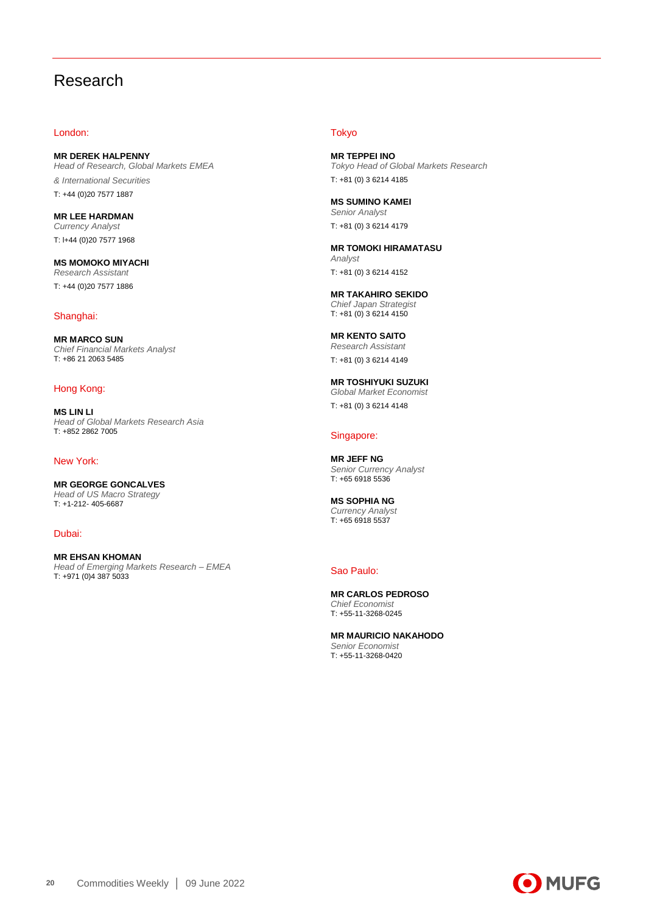## Research

## London:

**MR DEREK HALPENNY** *Head of Research, Global Markets EMEA & International Securities* T: +44 (0)20 7577 1887

**MR LEE HARDMAN** *Currency Analyst* T: l+44 (0)20 7577 1968

**MS MOMOKO MIYACHI** *Research Assistant* T: +44 (0)20 7577 1886

## Shanghai:

**MR MARCO SUN** *Chief Financial Markets Analyst*  T: +86 21 2063 5485

## Hong Kong:

**MS LIN LI** *Head of Global Markets Research Asia* T: +852 2862 7005

## New York:

**MR GEORGE GONCALVES** *Head of US Macro Strategy*  T: +1-212- 405-6687

Dubai:

**MR EHSAN KHOMAN** *Head of Emerging Markets Research – EMEA*  T: +971 (0)4 387 5033

## Tokyo

**MR TEPPEI INO** *Tokyo Head of Global Markets Research* T: +81 (0) 3 6214 4185

**MS SUMINO KAMEI** *Senior Analyst* T: +81 (0) 3 6214 4179

**MR TOMOKI HIRAMATASU** *Analyst* T: +81 (0) 3 6214 4152

**MR TAKAHIRO SEKIDO** *Chief Japan Strategist* T: +81 (0) 3 6214 4150

**MR KENTO SAITO** *Research Assistant* T: +81 (0) 3 6214 4149

**MR TOSHIYUKI SUZUKI** *Global Market Economist* T: +81 (0) 3 6214 4148

## Singapore:

**MR JEFF NG** *Senior Currency Analyst* T: +65 6918 5536

**MS SOPHIA NG** *Currency Analyst* T: +65 6918 5537

### Sao Paulo:

**MR CARLOS PEDROSO** *Chief Economist* T: +55-11-3268-0245

**MR MAURICIO NAKAHODO** *Senior Economist* T: +55-11-3268-0420